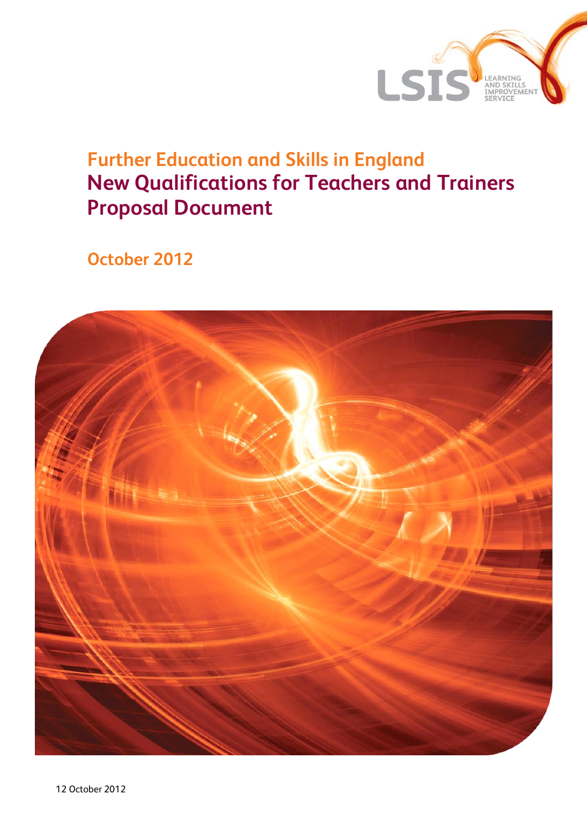

# **Further Education and Skills in England New Qualifications for Teachers and Trainers Proposal Document**

**October 2012** 

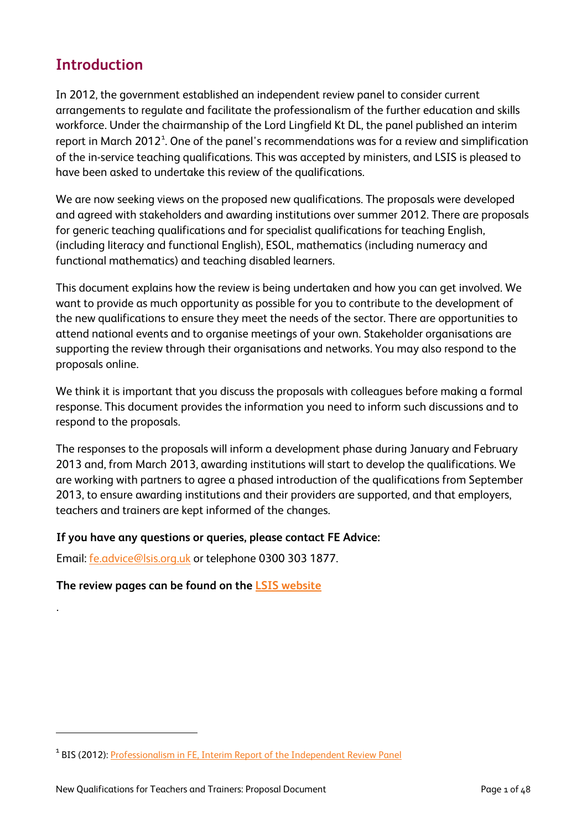# **Introduction**

In 2012, the government established an independent review panel to consider current arrangements to regulate and facilitate the professionalism of the further education and skills workforce. Under the chairmanship of the Lord Lingfield Kt DL, the panel published an interim report in March 20[1](#page-1-0)2 $^{\text{1}}$ . One of the panel's recommendations was for a review and simplification of the in-service teaching qualifications. This was accepted by ministers, and LSIS is pleased to have been asked to undertake this review of the qualifications.

We are now seeking views on the proposed new qualifications. The proposals were developed and agreed with stakeholders and awarding institutions over summer 2012. There are proposals for generic teaching qualifications and for specialist qualifications for teaching English, (including literacy and functional English), ESOL, mathematics (including numeracy and functional mathematics) and teaching disabled learners.

This document explains how the review is being undertaken and how you can get involved. We want to provide as much opportunity as possible for you to contribute to the development of the new qualifications to ensure they meet the needs of the sector. There are opportunities to attend national events and to organise meetings of your own. Stakeholder organisations are supporting the review through their organisations and networks. You may also respond to the proposals online.

We think it is important that you discuss the proposals with colleagues before making a formal response. This document provides the information you need to inform such discussions and to respond to the proposals.

The responses to the proposals will inform a development phase during January and February 2013 and, from March 2013, awarding institutions will start to develop the qualifications. We are working with partners to agree a phased introduction of the qualifications from September 2013, to ensure awarding institutions and their providers are supported, and that employers, teachers and trainers are kept informed of the changes.

#### **If you have any questions or queries, please contact FE Advice:**

Email: [fe.advice@lsis.org.uk](mailto:fe.advice@lsis.org.uk) or telephone 0300 303 1877.

## **The review pages can be found on the [LSIS website](http://www.lsis.org.uk/AboutLSIS/strategicprojects/FE-Teacher-Trainer-Qualifications-Review/Pages/default.aspx)**

.

 $\overline{a}$ 

<span id="page-1-0"></span><sup>&</sup>lt;sup>1</sup> BIS (2012): [Professionalism in FE, Interim Report of the Independent Review Panel](http://www.bis.gov.uk/assets/biscore/further-education-skills/docs/p/12-670-professionalism-in-further-education-interim.pdf)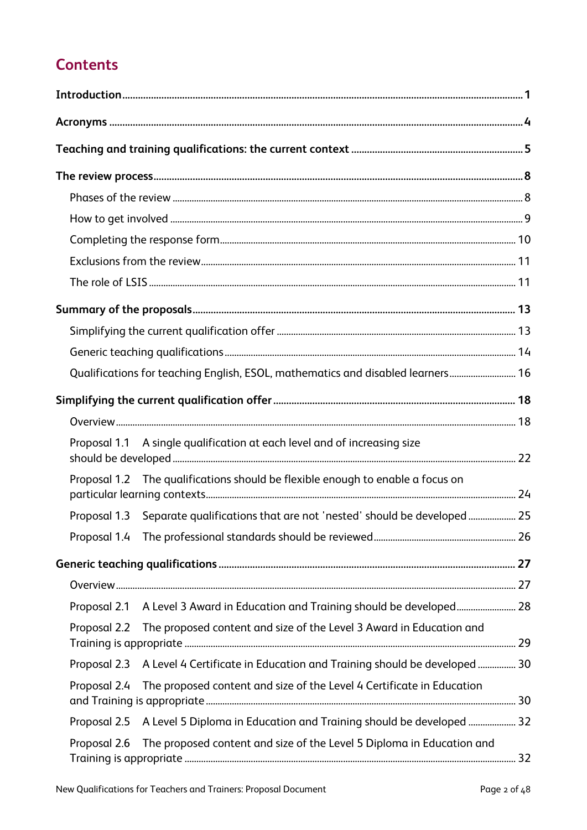# **Contents**

|              | Qualifications for teaching English, ESOL, mathematics and disabled learners 16      |  |
|--------------|--------------------------------------------------------------------------------------|--|
|              |                                                                                      |  |
|              |                                                                                      |  |
|              | Proposal 1.1 A single qualification at each level and of increasing size             |  |
|              | Proposal 1.2 The qualifications should be flexible enough to enable a focus on       |  |
|              | Proposal 1.3 Separate qualifications that are not 'nested' should be developed  25   |  |
|              |                                                                                      |  |
|              |                                                                                      |  |
|              |                                                                                      |  |
|              | Proposal 2.1 A Level 3 Award in Education and Training should be developed 28        |  |
| Proposal 2.2 | The proposed content and size of the Level 3 Award in Education and                  |  |
|              | Proposal 2.3 A Level 4 Certificate in Education and Training should be developed  30 |  |
| Proposal 2.4 | The proposed content and size of the Level 4 Certificate in Education                |  |
|              | Proposal 2.5 A Level 5 Diploma in Education and Training should be developed  32     |  |
| Proposal 2.6 | The proposed content and size of the Level 5 Diploma in Education and                |  |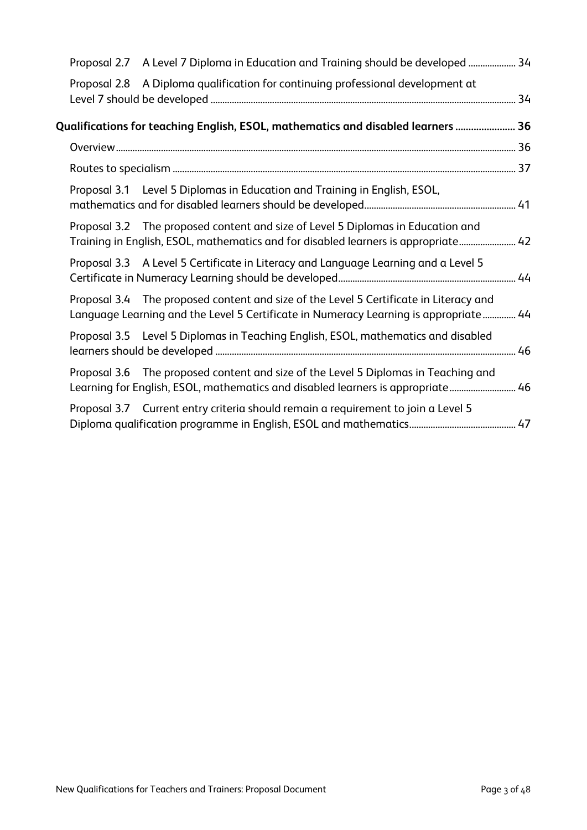|  | Proposal 2.7 A Level 7 Diploma in Education and Training should be developed  34                                                                                              |  |
|--|-------------------------------------------------------------------------------------------------------------------------------------------------------------------------------|--|
|  | Proposal 2.8 A Diploma qualification for continuing professional development at                                                                                               |  |
|  | Qualifications for teaching English, ESOL, mathematics and disabled learners ……………………………………………………………                                                                          |  |
|  |                                                                                                                                                                               |  |
|  |                                                                                                                                                                               |  |
|  | Proposal 3.1 Level 5 Diplomas in Education and Training in English, ESOL,                                                                                                     |  |
|  | Proposal 3.2 The proposed content and size of Level 5 Diplomas in Education and<br>Training in English, ESOL, mathematics and for disabled learners is appropriate 42         |  |
|  | Proposal 3.3 A Level 5 Certificate in Literacy and Language Learning and a Level 5                                                                                            |  |
|  | Proposal 3.4 The proposed content and size of the Level 5 Certificate in Literacy and<br>Language Learning and the Level 5 Certificate in Numeracy Learning is appropriate 44 |  |
|  | Proposal 3.5 Level 5 Diplomas in Teaching English, ESOL, mathematics and disabled                                                                                             |  |
|  | Proposal 3.6 The proposed content and size of the Level 5 Diplomas in Teaching and<br>Learning for English, ESOL, mathematics and disabled learners is appropriate 46         |  |
|  | Proposal 3.7 Current entry criteria should remain a requirement to join a Level 5                                                                                             |  |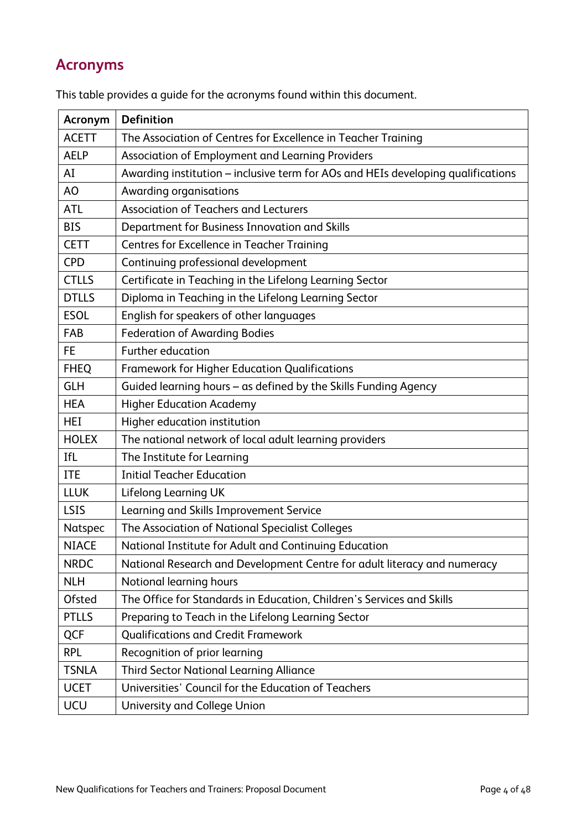# **Acronyms**

| Acronym       | <b>Definition</b>                                                                |
|---------------|----------------------------------------------------------------------------------|
| <b>ACETT</b>  | The Association of Centres for Excellence in Teacher Training                    |
| <b>AELP</b>   | Association of Employment and Learning Providers                                 |
| AI            | Awarding institution - inclusive term for AOs and HEIs developing qualifications |
| AO            | Awarding organisations                                                           |
| <b>ATL</b>    | <b>Association of Teachers and Lecturers</b>                                     |
| <b>BIS</b>    | Department for Business Innovation and Skills                                    |
| <b>CETT</b>   | <b>Centres for Excellence in Teacher Training</b>                                |
| <b>CPD</b>    | Continuing professional development                                              |
| <b>CTLLS</b>  | Certificate in Teaching in the Lifelong Learning Sector                          |
| <b>DTLLS</b>  | Diploma in Teaching in the Lifelong Learning Sector                              |
| <b>ESOL</b>   | English for speakers of other languages                                          |
| FAB           | <b>Federation of Awarding Bodies</b>                                             |
| FE.           | <b>Further education</b>                                                         |
| <b>FHEQ</b>   | <b>Framework for Higher Education Qualifications</b>                             |
| <b>GLH</b>    | Guided learning hours - as defined by the Skills Funding Agency                  |
| <b>HEA</b>    | <b>Higher Education Academy</b>                                                  |
| HEI           | Higher education institution                                                     |
| <b>HOLEX</b>  | The national network of local adult learning providers                           |
| IfL           | The Institute for Learning                                                       |
| <b>ITE</b>    | <b>Initial Teacher Education</b>                                                 |
| <b>LLUK</b>   | Lifelong Learning UK                                                             |
| LSIS          | Learning and Skills Improvement Service                                          |
| Natspec       | The Association of National Specialist Colleges                                  |
| <b>NIACE</b>  | National Institute for Adult and Continuing Education                            |
| <b>NRDC</b>   | National Research and Development Centre for adult literacy and numeracy         |
| <b>NLH</b>    | Notional learning hours                                                          |
| <b>Ofsted</b> | The Office for Standards in Education, Children's Services and Skills            |
| <b>PTLLS</b>  | Preparing to Teach in the Lifelong Learning Sector                               |
| <b>QCF</b>    | <b>Qualifications and Credit Framework</b>                                       |
| <b>RPL</b>    | Recognition of prior learning                                                    |
| <b>TSNLA</b>  | <b>Third Sector National Learning Alliance</b>                                   |
| <b>UCET</b>   | Universities' Council for the Education of Teachers                              |
| UCU           | University and College Union                                                     |

This table provides a guide for the acronyms found within this document.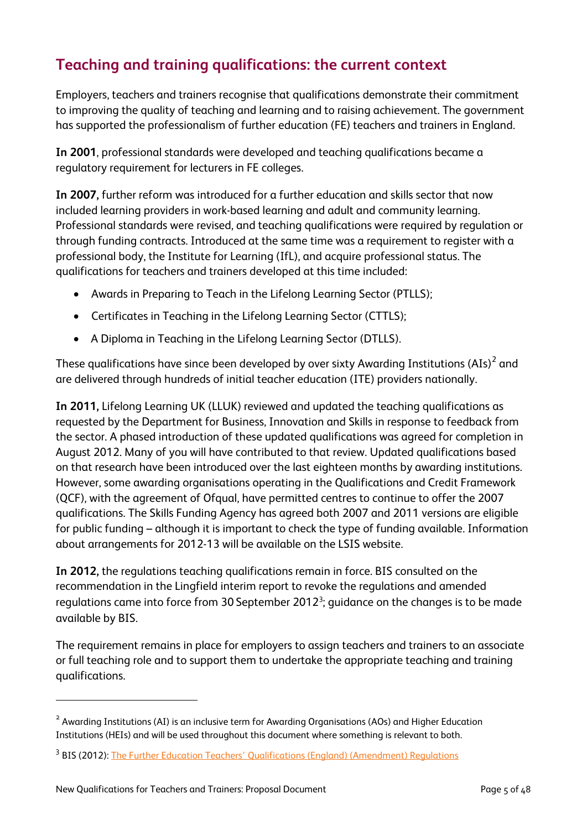# **Teaching and training qualifications: the current context**

Employers, teachers and trainers recognise that qualifications demonstrate their commitment to improving the quality of teaching and learning and to raising achievement. The government has supported the professionalism of further education (FE) teachers and trainers in England.

**In 2001**, professional standards were developed and teaching qualifications became a regulatory requirement for lecturers in FE colleges.

**In 2007,** further reform was introduced for a further education and skills sector that now included learning providers in work-based learning and adult and community learning. Professional standards were revised, and teaching qualifications were required by regulation or through funding contracts. Introduced at the same time was a requirement to register with a professional body, the Institute for Learning (IfL), and acquire professional status. The qualifications for teachers and trainers developed at this time included:

- Awards in Preparing to Teach in the Lifelong Learning Sector (PTLLS);
- Certificates in Teaching in the Lifelong Learning Sector (CTTLS);
- A Diploma in Teaching in the Lifelong Learning Sector (DTLLS).

These qualifications have since been developed by over sixty Awarding Institutions (AIs) $^2$  $^2$  and are delivered through hundreds of initial teacher education (ITE) providers nationally.

**In 2011,** Lifelong Learning UK (LLUK) reviewed and updated the teaching qualifications as requested by the Department for Business, Innovation and Skills in response to feedback from the sector. A phased introduction of these updated qualifications was agreed for completion in August 2012. Many of you will have contributed to that review. Updated qualifications based on that research have been introduced over the last eighteen months by awarding institutions. However, some awarding organisations operating in the Qualifications and Credit Framework (QCF), with the agreement of Ofqual, have permitted centres to continue to offer the 2007 qualifications. The Skills Funding Agency has agreed both 2007 and 2011 versions are eligible for public funding – although it is important to check the type of funding available. Information about arrangements for 2012-13 will be available on the LSIS website.

**In 2012,** the regulations teaching qualifications remain in force. BIS consulted on the recommendation in the Lingfield interim report to revoke the regulations and amended regulations came into force from [3](#page-5-1)0 September 2012<sup>3</sup>; guidance on the changes is to be made available by BIS.

The requirement remains in place for employers to assign teachers and trainers to an associate or full teaching role and to support them to undertake the appropriate teaching and training qualifications.

 $\overline{a}$ 

<span id="page-5-0"></span><sup>&</sup>lt;sup>2</sup> Awarding Institutions (AI) is an inclusive term for Awarding Organisations (AOs) and Higher Education Institutions (HEIs) and will be used throughout this document where something is relevant to both.

<span id="page-5-1"></span><sup>&</sup>lt;sup>3</sup> BIS (2012): [The Further Education Teachers' Qualifications \(England\) \(Amendment\) Regulations](http://www.legislation.gov.uk/uksi/2012/2166/made)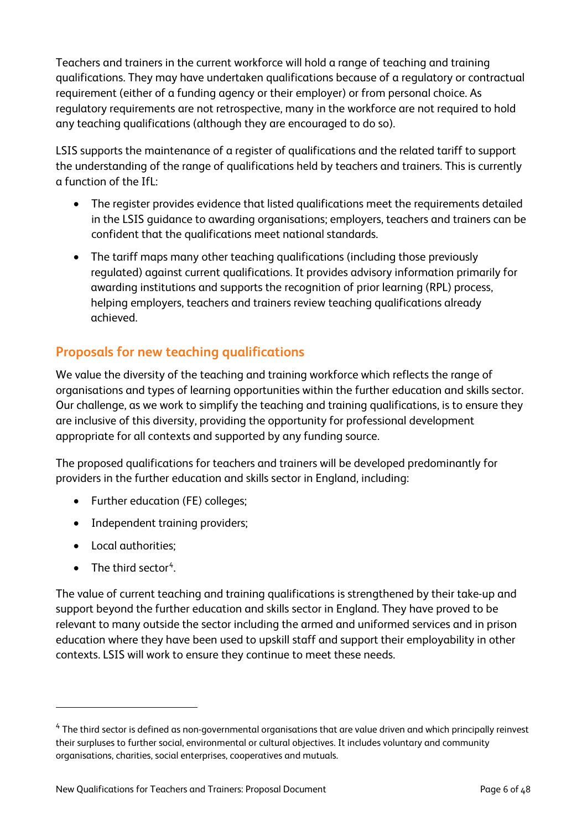Teachers and trainers in the current workforce will hold a range of teaching and training qualifications. They may have undertaken qualifications because of a regulatory or contractual requirement (either of a funding agency or their employer) or from personal choice. As regulatory requirements are not retrospective, many in the workforce are not required to hold any teaching qualifications (although they are encouraged to do so).

LSIS supports the maintenance of a register of qualifications and the related tariff to support the understanding of the range of qualifications held by teachers and trainers. This is currently a function of the IfL:

- The register provides evidence that listed qualifications meet the requirements detailed in the LSIS guidance to awarding organisations; employers, teachers and trainers can be confident that the qualifications meet national standards.
- The tariff maps many other teaching qualifications (including those previously regulated) against current qualifications. It provides advisory information primarily for awarding institutions and supports the recognition of prior learning (RPL) process, helping employers, teachers and trainers review teaching qualifications already achieved.

# **Proposals for new teaching qualifications**

We value the diversity of the teaching and training workforce which reflects the range of organisations and types of learning opportunities within the further education and skills sector. Our challenge, as we work to simplify the teaching and training qualifications, is to ensure they are inclusive of this diversity, providing the opportunity for professional development appropriate for all contexts and supported by any funding source.

The proposed qualifications for teachers and trainers will be developed predominantly for providers in the further education and skills sector in England, including:

- Further education (FE) colleges;
- Independent training providers;
- Local authorities;
- $\bullet$  The third sector<sup>[4](#page-6-0)</sup>.

 $\overline{a}$ 

The value of current teaching and training qualifications is strengthened by their take-up and support beyond the further education and skills sector in England. They have proved to be relevant to many outside the sector including the armed and uniformed services and in prison education where they have been used to upskill staff and support their employability in other contexts. LSIS will work to ensure they continue to meet these needs.

<span id="page-6-0"></span> $4$  The third sector is defined as non-governmental organisations that are value driven and which principally reinvest their surpluses to further social, environmental or cultural objectives. It includes voluntary and community organisations, charities, social enterprises, cooperatives and mutuals.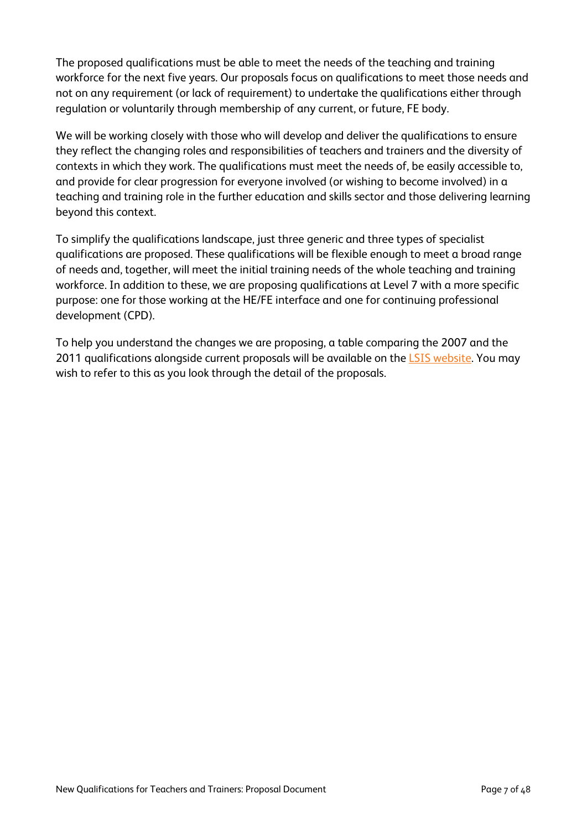The proposed qualifications must be able to meet the needs of the teaching and training workforce for the next five years. Our proposals focus on qualifications to meet those needs and not on any requirement (or lack of requirement) to undertake the qualifications either through regulation or voluntarily through membership of any current, or future, FE body.

We will be working closely with those who will develop and deliver the qualifications to ensure they reflect the changing roles and responsibilities of teachers and trainers and the diversity of contexts in which they work. The qualifications must meet the needs of, be easily accessible to, and provide for clear progression for everyone involved (or wishing to become involved) in a teaching and training role in the further education and skills sector and those delivering learning beyond this context.

To simplify the qualifications landscape, just three generic and three types of specialist qualifications are proposed. These qualifications will be flexible enough to meet a broad range of needs and, together, will meet the initial training needs of the whole teaching and training workforce. In addition to these, we are proposing qualifications at Level 7 with a more specific purpose: one for those working at the HE/FE interface and one for continuing professional development (CPD).

To help you understand the changes we are proposing, a table comparing the 2007 and the 2011 qualifications alongside current proposals will be available on the [LSIS website.](http://www.lsis.org.uk/AboutLSIS/strategicprojects/FE-Teacher-Trainer-Qualifications-Review/Pages/default.aspx) You may wish to refer to this as you look through the detail of the proposals.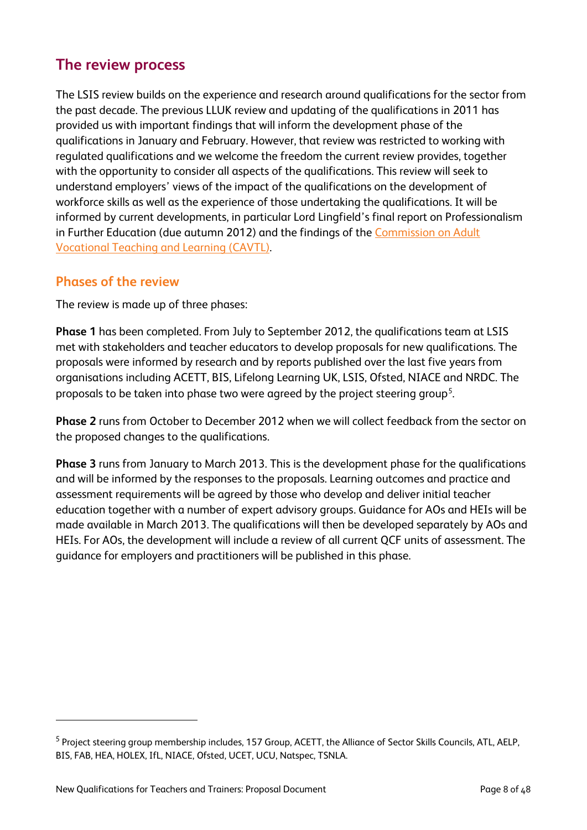# **The review process**

The LSIS review builds on the experience and research around qualifications for the sector from the past decade. The previous LLUK review and updating of the qualifications in 2011 has provided us with important findings that will inform the development phase of the qualifications in January and February. However, that review was restricted to working with regulated qualifications and we welcome the freedom the current review provides, together with the opportunity to consider all aspects of the qualifications. This review will seek to understand employers' views of the impact of the qualifications on the development of workforce skills as well as the experience of those undertaking the qualifications. It will be informed by current developments, in particular Lord Lingfield's final report on Professionalism in Further Education (due autumn 2012) and the findings of the [Commission on Adult](http://www.excellencegateway.org.uk/cavtl)  [Vocational Teaching and Learning \(CAVTL\).](http://www.excellencegateway.org.uk/cavtl) 

## **Phases of the review**

The review is made up of three phases:

**Phase 1** has been completed. From July to September 2012, the qualifications team at LSIS met with stakeholders and teacher educators to develop proposals for new qualifications. The proposals were informed by research and by reports published over the last five years from organisations including ACETT, BIS, Lifelong Learning UK, LSIS, Ofsted, NIACE and NRDC. The proposals to be taken into phase two were agreed by the project steering group $^5\!$  $^5\!$  $^5\!$ 

**Phase 2** runs from October to December 2012 when we will collect feedback from the sector on the proposed changes to the qualifications.

**Phase 3** runs from January to March 2013. This is the development phase for the qualifications and will be informed by the responses to the proposals. Learning outcomes and practice and assessment requirements will be agreed by those who develop and deliver initial teacher education together with a number of expert advisory groups. Guidance for AOs and HEIs will be made available in March 2013. The qualifications will then be developed separately by AOs and HEIs. For AOs, the development will include a review of all current QCF units of assessment. The guidance for employers and practitioners will be published in this phase.

 $\overline{a}$ 

<span id="page-8-0"></span><sup>&</sup>lt;sup>5</sup> Project steering group membership includes, 157 Group, ACETT, the Alliance of Sector Skills Councils, ATL, AELP, BIS, FAB, HEA, HOLEX, IfL, NIACE, Ofsted, UCET, UCU, Natspec, TSNLA.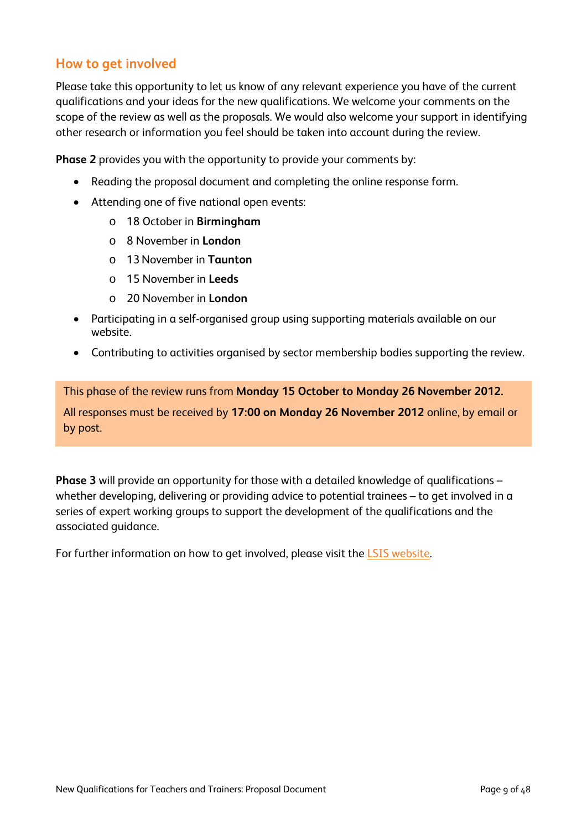## **How to get involved**

Please take this opportunity to let us know of any relevant experience you have of the current qualifications and your ideas for the new qualifications. We welcome your comments on the scope of the review as well as the proposals. We would also welcome your support in identifying other research or information you feel should be taken into account during the review.

**Phase 2** provides you with the opportunity to provide your comments by:

- Reading the proposal document and completing the online response form.
- Attending one of five national open events:
	- o 18 October in **Birmingham**
	- o 8 November in **London**
	- o 13November in **Taunton**
	- o 15 November in **Leeds**
	- o 20 November in **London**
- Participating in a self-organised group using supporting materials available on our website.
- Contributing to activities organised by sector membership bodies supporting the review.

This phase of the review runs from **Monday 15 October to Monday 26 November 2012.**

All responses must be received by **17:00 on Monday 26 November 2012** online, by email or by post.

**Phase 3** will provide an opportunity for those with a detailed knowledge of qualifications – whether developing, delivering or providing advice to potential trainees – to get involved in a series of expert working groups to support the development of the qualifications and the associated guidance.

For further information on how to get involved, please visit the **LSIS** website.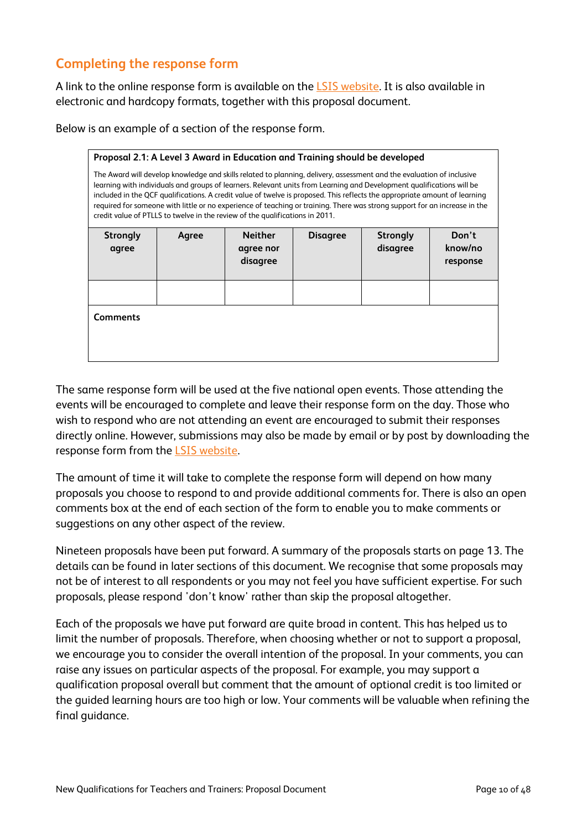# **Completing the response form**

A link to the online response form is available on the [LSIS website.](http://www.lsis.org.uk/AboutLSIS/strategicprojects/FE-Teacher-Trainer-Qualifications-Review/Pages/default.aspx) It is also available in electronic and hardcopy formats, together with this proposal document.

| Proposal 2.1: A Level 3 Award in Education and Training should be developed                                                                                                                                                                                                                                                                                                                                                                                                                                                                                                                |       |                       |                 |                 |                     |
|--------------------------------------------------------------------------------------------------------------------------------------------------------------------------------------------------------------------------------------------------------------------------------------------------------------------------------------------------------------------------------------------------------------------------------------------------------------------------------------------------------------------------------------------------------------------------------------------|-------|-----------------------|-----------------|-----------------|---------------------|
| The Award will develop knowledge and skills related to planning, delivery, assessment and the evaluation of inclusive<br>learning with individuals and groups of learners. Relevant units from Learning and Development qualifications will be<br>included in the QCF qualifications. A credit value of twelve is proposed. This reflects the appropriate amount of learning<br>required for someone with little or no experience of teaching or training. There was strong support for an increase in the<br>credit value of PTLLS to twelve in the review of the qualifications in 2011. |       |                       |                 |                 |                     |
| <b>Strongly</b>                                                                                                                                                                                                                                                                                                                                                                                                                                                                                                                                                                            | Agree | <b>Neither</b>        | <b>Disagree</b> | <b>Strongly</b> | Don't               |
| agree                                                                                                                                                                                                                                                                                                                                                                                                                                                                                                                                                                                      |       | agree nor<br>disagree |                 | disagree        | know/no<br>response |
|                                                                                                                                                                                                                                                                                                                                                                                                                                                                                                                                                                                            |       |                       |                 |                 |                     |
|                                                                                                                                                                                                                                                                                                                                                                                                                                                                                                                                                                                            |       |                       |                 |                 |                     |
| <b>Comments</b>                                                                                                                                                                                                                                                                                                                                                                                                                                                                                                                                                                            |       |                       |                 |                 |                     |

Below is an example of a section of the response form.

The same response form will be used at the five national open events. Those attending the events will be encouraged to complete and leave their response form on the day. Those who wish to respond who are not attending an event are encouraged to submit their responses directly online. However, submissions may also be made by email or by post by downloading the response form from the [LSIS website.](http://www.lsis.org.uk/AboutLSIS/strategicprojects/FE-Teacher-Trainer-Qualifications-Review/Pages/default.aspx)

The amount of time it will take to complete the response form will depend on how many proposals you choose to respond to and provide additional comments for. There is also an open comments box at the end of each section of the form to enable you to make comments or suggestions on any other aspect of the review.

Nineteen proposals have been put forward. A summary of the proposals starts on page 13. The details can be found in later sections of this document. We recognise that some proposals may not be of interest to all respondents or you may not feel you have sufficient expertise. For such proposals, please respond 'don't know' rather than skip the proposal altogether.

Each of the proposals we have put forward are quite broad in content. This has helped us to limit the number of proposals. Therefore, when choosing whether or not to support a proposal, we encourage you to consider the overall intention of the proposal. In your comments, you can raise any issues on particular aspects of the proposal. For example, you may support a qualification proposal overall but comment that the amount of optional credit is too limited or the guided learning hours are too high or low. Your comments will be valuable when refining the final guidance.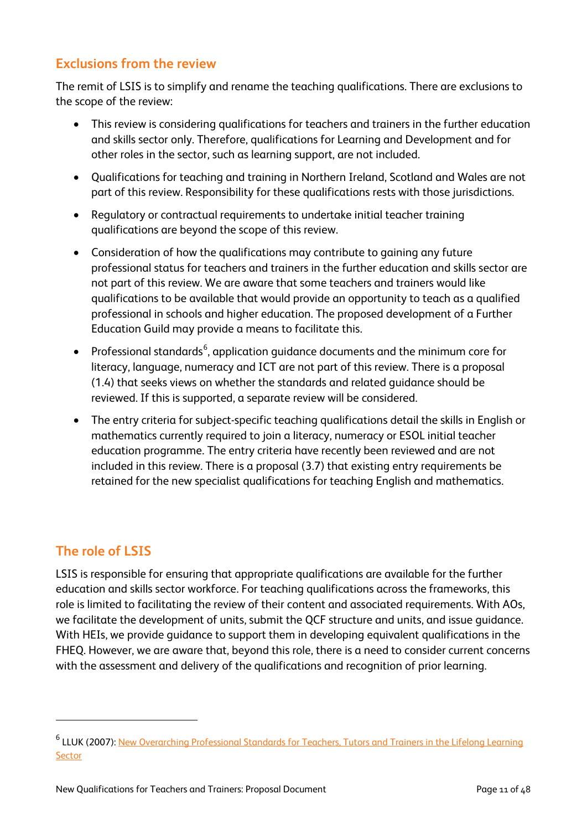# **Exclusions from the review**

The remit of LSIS is to simplify and rename the teaching qualifications. There are exclusions to the scope of the review:

- This review is considering qualifications for teachers and trainers in the further education and skills sector only. Therefore, qualifications for Learning and Development and for other roles in the sector, such as learning support, are not included.
- Qualifications for teaching and training in Northern Ireland, Scotland and Wales are not part of this review. Responsibility for these qualifications rests with those jurisdictions.
- Regulatory or contractual requirements to undertake initial teacher training qualifications are beyond the scope of this review.
- Consideration of how the qualifications may contribute to gaining any future professional status for teachers and trainers in the further education and skills sector are not part of this review. We are aware that some teachers and trainers would like qualifications to be available that would provide an opportunity to teach as a qualified professional in schools and higher education. The proposed development of a Further Education Guild may provide a means to facilitate this.
- $\bullet$  Professional standards $^6$  $^6$ , application guidance documents and the minimum core for literacy, language, numeracy and ICT are not part of this review. There is a proposal (1.4) that seeks views on whether the standards and related guidance should be reviewed. If this is supported, a separate review will be considered.
- The entry criteria for subject-specific teaching qualifications detail the skills in English or mathematics currently required to join a literacy, numeracy or ESOL initial teacher education programme. The entry criteria have recently been reviewed and are not included in this review. There is a proposal (3.7) that existing entry requirements be retained for the new specialist qualifications for teaching English and mathematics.

# **The role of LSIS**

 $\overline{a}$ 

LSIS is responsible for ensuring that appropriate qualifications are available for the further education and skills sector workforce. For teaching qualifications across the frameworks, this role is limited to facilitating the review of their content and associated requirements. With AOs, we facilitate the development of units, submit the QCF structure and units, and issue guidance. With HEIs, we provide guidance to support them in developing equivalent qualifications in the FHEQ. However, we are aware that, beyond this role, there is a need to consider current concerns with the assessment and delivery of the qualifications and recognition of prior learning.

<span id="page-11-0"></span><sup>6</sup> LLUK (2007): [New Overarching Professional Standards for Teachers, Tutors and Trainers in the Lifelong Learning](http://www.lluklegacy.org/cms/uploads/New-overarching-professional-standards-for-teachers-tutors-and-trainers-in-the-lifelong-learning-sector.pdf)  **[Sector](http://www.lluklegacy.org/cms/uploads/New-overarching-professional-standards-for-teachers-tutors-and-trainers-in-the-lifelong-learning-sector.pdf)**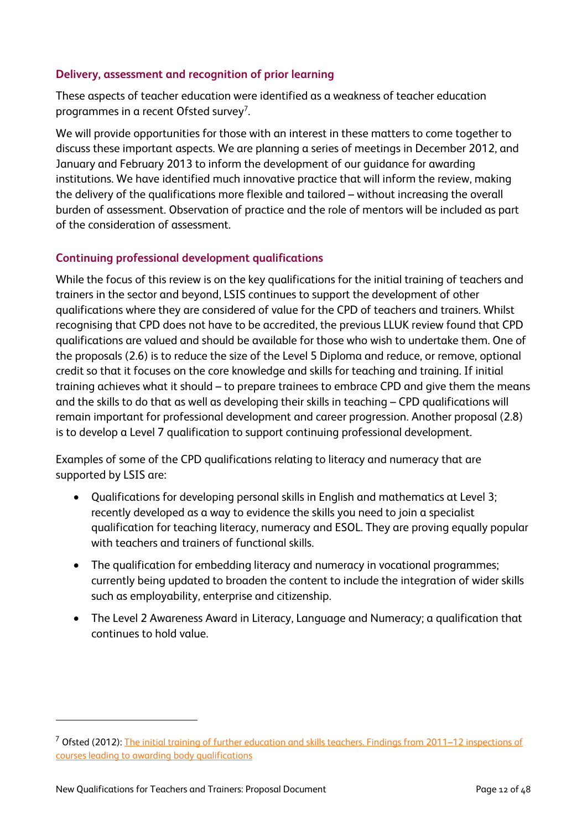#### **Delivery, assessment and recognition of prior learning**

These aspects of teacher education were identified as a weakness of teacher education programmes in a recent Ofsted survey<sup>[7](#page-12-0)</sup>.

We will provide opportunities for those with an interest in these matters to come together to discuss these important aspects. We are planning a series of meetings in December 2012, and January and February 2013 to inform the development of our guidance for awarding institutions. We have identified much innovative practice that will inform the review, making the delivery of the qualifications more flexible and tailored – without increasing the overall burden of assessment. Observation of practice and the role of mentors will be included as part of the consideration of assessment.

## **Continuing professional development qualifications**

While the focus of this review is on the key qualifications for the initial training of teachers and trainers in the sector and beyond, LSIS continues to support the development of other qualifications where they are considered of value for the CPD of teachers and trainers. Whilst recognising that CPD does not have to be accredited, the previous LLUK review found that CPD qualifications are valued and should be available for those who wish to undertake them. One of the proposals (2.6) is to reduce the size of the Level 5 Diploma and reduce, or remove, optional credit so that it focuses on the core knowledge and skills for teaching and training. If initial training achieves what it should – to prepare trainees to embrace CPD and give them the means and the skills to do that as well as developing their skills in teaching – CPD qualifications will remain important for professional development and career progression. Another proposal (2.8) is to develop a Level 7 qualification to support continuing professional development.

Examples of some of the CPD qualifications relating to literacy and numeracy that are supported by LSIS are:

- Qualifications for developing personal skills in English and mathematics at Level 3; recently developed as a way to evidence the skills you need to join a specialist qualification for teaching literacy, numeracy and ESOL. They are proving equally popular with teachers and trainers of functional skills.
- The qualification for embedding literacy and numeracy in vocational programmes; currently being updated to broaden the content to include the integration of wider skills such as employability, enterprise and citizenship.
- The Level 2 Awareness Award in Literacy, Language and Numeracy; a qualification that continues to hold value.

 $\overline{a}$ 

<span id="page-12-0"></span><sup>7</sup> Ofsted (2012): The initial training [of further education and skills teachers. Findings from 2011–12 inspections of](http://www.ofsted.gov.uk/resources/initial-training-of-further-education-and-skills-teachers)  [courses leading to awarding body qualifications](http://www.ofsted.gov.uk/resources/initial-training-of-further-education-and-skills-teachers)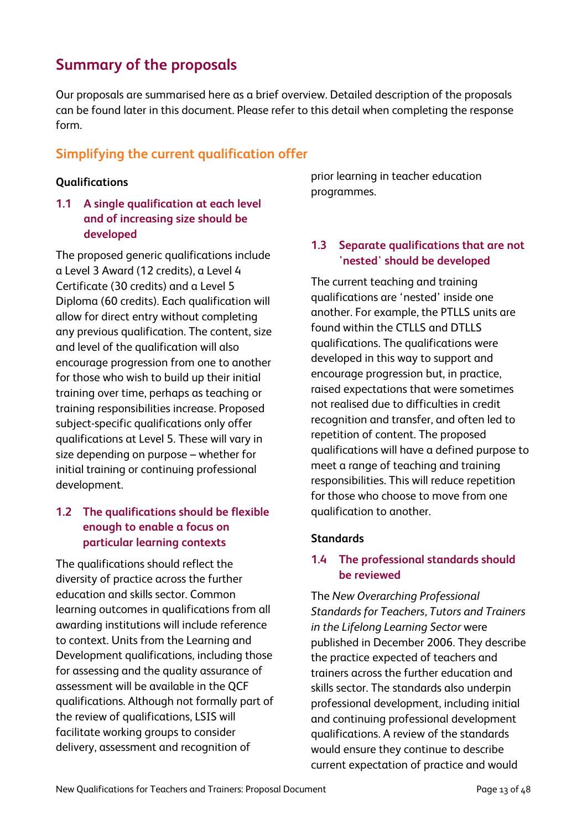# **Summary of the proposals**

Our proposals are summarised here as a brief overview. Detailed description of the proposals can be found later in this document. Please refer to this detail when completing the response form.

# **Simplifying the current qualification offer**

## **Qualifications**

**1.1 A single qualification at each level and of increasing size should be developed** 

The proposed generic qualifications include a Level 3 Award (12 credits), a Level 4 Certificate (30 credits) and a Level 5 Diploma (60 credits). Each qualification will allow for direct entry without completing any previous qualification. The content, size and level of the qualification will also encourage progression from one to another for those who wish to build up their initial training over time, perhaps as teaching or training responsibilities increase. Proposed subject-specific qualifications only offer qualifications at Level 5. These will vary in size depending on purpose – whether for initial training or continuing professional development.

## **1.2 The qualifications should be flexible enough to enable a focus on particular learning contexts**

The qualifications should reflect the diversity of practice across the further education and skills sector. Common learning outcomes in qualifications from all awarding institutions will include reference to context. Units from the Learning and Development qualifications, including those for assessing and the quality assurance of assessment will be available in the QCF qualifications. Although not formally part of the review of qualifications, LSIS will facilitate working groups to consider delivery, assessment and recognition of

prior learning in teacher education programmes.

## **1.3 Separate qualifications that are not 'nested' should be developed**

The current teaching and training qualifications are 'nested' inside one another. For example, the PTLLS units are found within the CTLLS and DTLLS qualifications. The qualifications were developed in this way to support and encourage progression but, in practice, raised expectations that were sometimes not realised due to difficulties in credit recognition and transfer, and often led to repetition of content. The proposed qualifications will have a defined purpose to meet a range of teaching and training responsibilities. This will reduce repetition for those who choose to move from one qualification to another.

## **Standards**

## **1.4 The professional standards should be reviewed**

The *New Overarching Professional Standards for Teachers, Tutors and Trainers in the Lifelong Learning Sector* were published in December 2006. They describe the practice expected of teachers and trainers across the further education and skills sector. The standards also underpin professional development, including initial and continuing professional development qualifications. A review of the standards would ensure they continue to describe current expectation of practice and would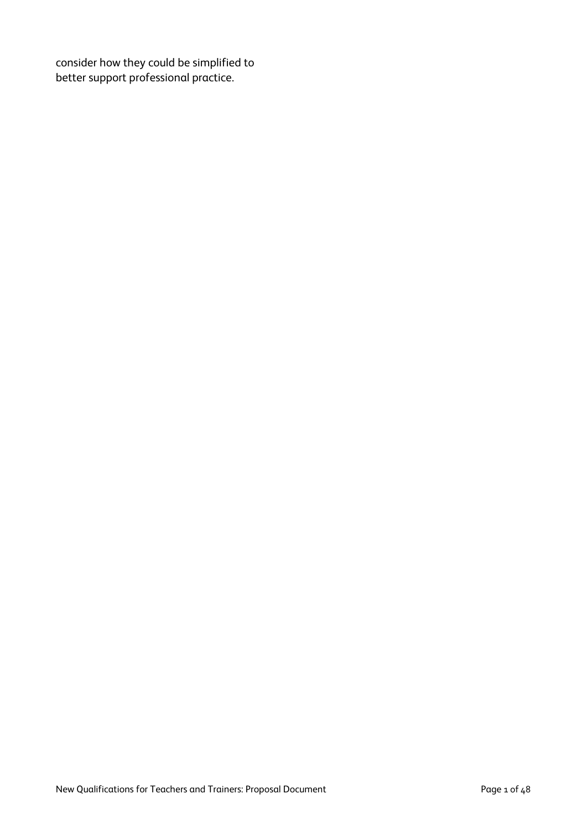consider how they could be simplified to better support professional practice.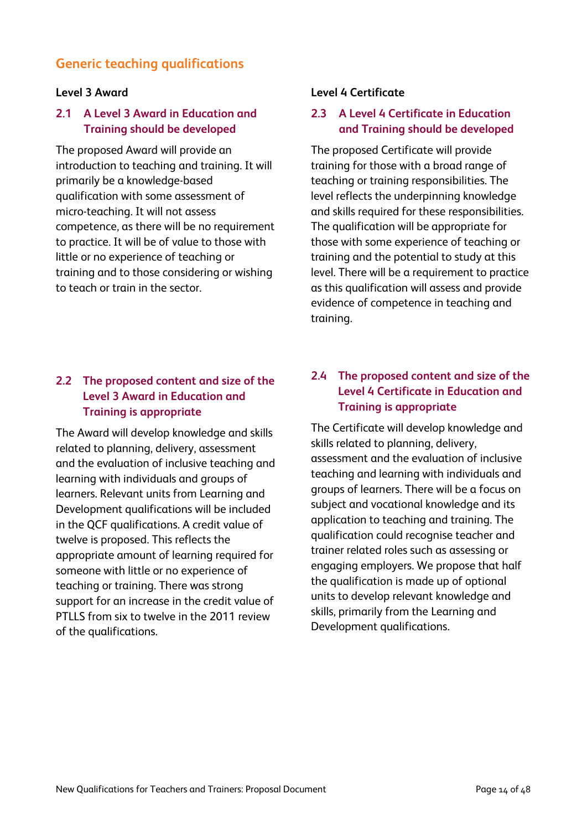## **Generic teaching qualifications**

#### **Level 3 Award**

## **2.1 A Level 3 Award in Education and Training should be developed**

The proposed Award will provide an introduction to teaching and training. It will primarily be a knowledge-based qualification with some assessment of micro-teaching. It will not assess competence, as there will be no requirement to practice. It will be of value to those with little or no experience of teaching or training and to those considering or wishing to teach or train in the sector.

## **2.2 The proposed content and size of the Level 3 Award in Education and Training is appropriate**

The Award will develop knowledge and skills related to planning, delivery, assessment and the evaluation of inclusive teaching and learning with individuals and groups of learners. Relevant units from Learning and Development qualifications will be included in the QCF qualifications. A credit value of twelve is proposed. This reflects the appropriate amount of learning required for someone with little or no experience of teaching or training. There was strong support for an increase in the credit value of PTLLS from six to twelve in the 2011 review of the qualifications.

#### **Level 4 Certificate**

## **2.3 A Level 4 Certificate in Education and Training should be developed**

The proposed Certificate will provide training for those with a broad range of teaching or training responsibilities. The level reflects the underpinning knowledge and skills required for these responsibilities. The qualification will be appropriate for those with some experience of teaching or training and the potential to study at this level. There will be a requirement to practice as this qualification will assess and provide evidence of competence in teaching and training.

## **2.4 The proposed content and size of the Level 4 Certificate in Education and Training is appropriate**

The Certificate will develop knowledge and skills related to planning, delivery, assessment and the evaluation of inclusive teaching and learning with individuals and groups of learners. There will be a focus on subject and vocational knowledge and its application to teaching and training. The qualification could recognise teacher and trainer related roles such as assessing or engaging employers. We propose that half the qualification is made up of optional units to develop relevant knowledge and skills, primarily from the Learning and Development qualifications.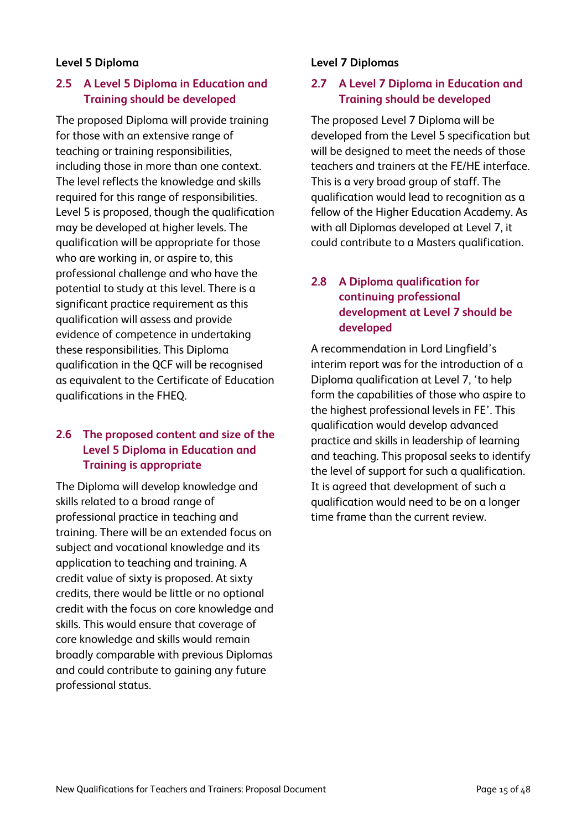### **Level 5 Diploma**

## **2.5 A Level 5 Diploma in Education and Training should be developed**

The proposed Diploma will provide training for those with an extensive range of teaching or training responsibilities, including those in more than one context. The level reflects the knowledge and skills required for this range of responsibilities. Level 5 is proposed, though the qualification may be developed at higher levels. The qualification will be appropriate for those who are working in, or aspire to, this professional challenge and who have the potential to study at this level. There is a significant practice requirement as this qualification will assess and provide evidence of competence in undertaking these responsibilities. This Diploma qualification in the QCF will be recognised as equivalent to the Certificate of Education qualifications in the FHEQ.

## **2.6 The proposed content and size of the Level 5 Diploma in Education and Training is appropriate**

The Diploma will develop knowledge and skills related to a broad range of professional practice in teaching and training. There will be an extended focus on subject and vocational knowledge and its application to teaching and training. A credit value of sixty is proposed. At sixty credits, there would be little or no optional credit with the focus on core knowledge and skills. This would ensure that coverage of core knowledge and skills would remain broadly comparable with previous Diplomas and could contribute to gaining any future professional status.

## **Level 7 Diplomas**

## **2.7 A Level 7 Diploma in Education and Training should be developed**

The proposed Level 7 Diploma will be developed from the Level 5 specification but will be designed to meet the needs of those teachers and trainers at the FE/HE interface. This is a very broad group of staff. The qualification would lead to recognition as a fellow of the Higher Education Academy. As with all Diplomas developed at Level 7, it could contribute to a Masters qualification.

## **2.8 A Diploma qualification for continuing professional development at Level 7 should be developed**

A recommendation in Lord Lingfield's interim report was for the introduction of a Diploma qualification at Level 7, 'to help form the capabilities of those who aspire to the highest professional levels in FE'. This qualification would develop advanced practice and skills in leadership of learning and teaching. This proposal seeks to identify the level of support for such a qualification. It is agreed that development of such a qualification would need to be on a longer time frame than the current review.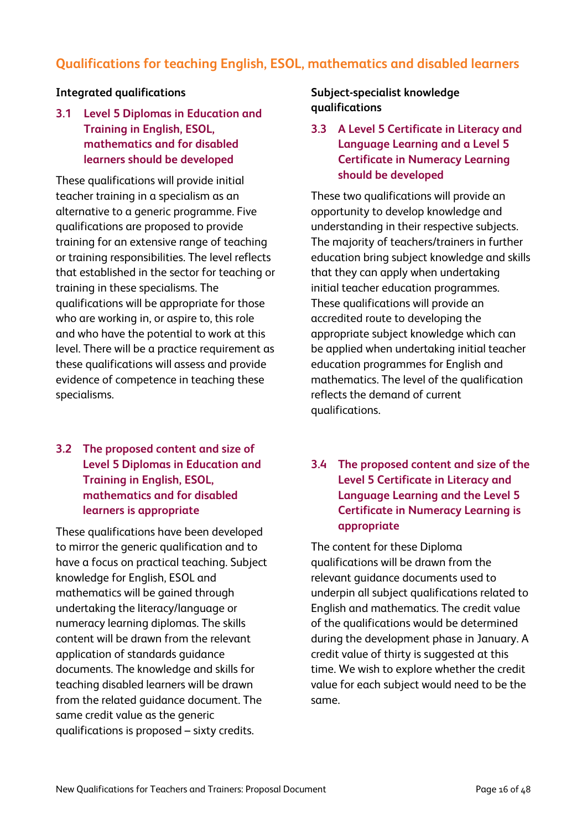# **Qualifications for teaching English, ESOL, mathematics and disabled learners**

#### **Integrated qualifications**

## **3.1 Level 5 Diplomas in Education and Training in English, ESOL, mathematics and for disabled learners should be developed**

These qualifications will provide initial teacher training in a specialism as an alternative to a generic programme. Five qualifications are proposed to provide training for an extensive range of teaching or training responsibilities. The level reflects that established in the sector for teaching or training in these specialisms. The qualifications will be appropriate for those who are working in, or aspire to, this role and who have the potential to work at this level. There will be a practice requirement as these qualifications will assess and provide evidence of competence in teaching these specialisms.

## **3.2 The proposed content and size of Level 5 Diplomas in Education and Training in English, ESOL, mathematics and for disabled learners is appropriate**

These qualifications have been developed to mirror the generic qualification and to have a focus on practical teaching. Subject knowledge for English, ESOL and mathematics will be gained through undertaking the literacy/language or numeracy learning diplomas. The skills content will be drawn from the relevant application of standards guidance documents. The knowledge and skills for teaching disabled learners will be drawn from the related guidance document. The same credit value as the generic qualifications is proposed – sixty credits.

## **Subject-specialist knowledge qualifications**

## **3.3 A Level 5 Certificate in Literacy and Language Learning and a Level 5 Certificate in Numeracy Learning should be developed**

These two qualifications will provide an opportunity to develop knowledge and understanding in their respective subjects. The majority of teachers/trainers in further education bring subject knowledge and skills that they can apply when undertaking initial teacher education programmes. These qualifications will provide an accredited route to developing the appropriate subject knowledge which can be applied when undertaking initial teacher education programmes for English and mathematics. The level of the qualification reflects the demand of current qualifications.

## **3.4 The proposed content and size of the Level 5 Certificate in Literacy and Language Learning and the Level 5 Certificate in Numeracy Learning is appropriate**

The content for these Diploma qualifications will be drawn from the relevant guidance documents used to underpin all subject qualifications related to English and mathematics. The credit value of the qualifications would be determined during the development phase in January. A credit value of thirty is suggested at this time. We wish to explore whether the credit value for each subject would need to be the same.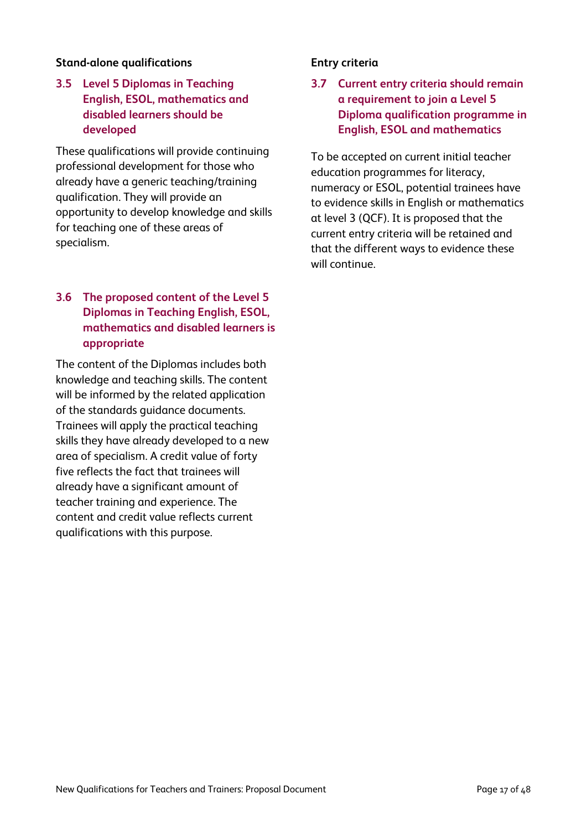### **Stand-alone qualifications**

## **3.5 Level 5 Diplomas in Teaching English, ESOL, mathematics and disabled learners should be developed**

These qualifications will provide continuing professional development for those who already have a generic teaching/training qualification. They will provide an opportunity to develop knowledge and skills for teaching one of these areas of specialism.

## **3.6 The proposed content of the Level 5 Diplomas in Teaching English, ESOL, mathematics and disabled learners is appropriate**

The content of the Diplomas includes both knowledge and teaching skills. The content will be informed by the related application of the standards guidance documents. Trainees will apply the practical teaching skills they have already developed to a new area of specialism. A credit value of forty five reflects the fact that trainees will already have a significant amount of teacher training and experience. The content and credit value reflects current qualifications with this purpose.

#### **Entry criteria**

**3.7 Current entry criteria should remain a requirement to join a Level 5 Diploma qualification programme in English, ESOL and mathematics**

To be accepted on current initial teacher education programmes for literacy, numeracy or ESOL, potential trainees have to evidence skills in English or mathematics at level 3 (QCF). It is proposed that the current entry criteria will be retained and that the different ways to evidence these will continue.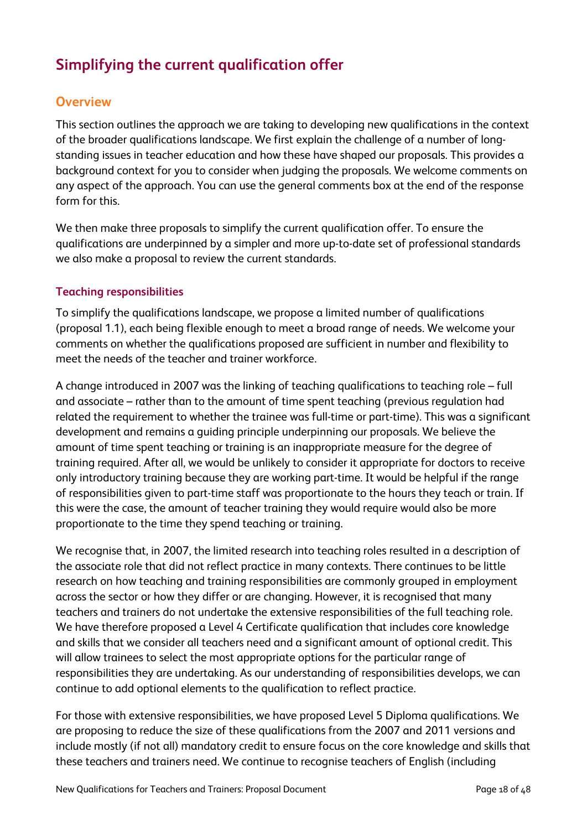# **Simplifying the current qualification offer**

## **Overview**

This section outlines the approach we are taking to developing new qualifications in the context of the broader qualifications landscape. We first explain the challenge of a number of longstanding issues in teacher education and how these have shaped our proposals. This provides a background context for you to consider when judging the proposals. We welcome comments on any aspect of the approach. You can use the general comments box at the end of the response form for this.

We then make three proposals to simplify the current qualification offer. To ensure the qualifications are underpinned by a simpler and more up-to-date set of professional standards we also make a proposal to review the current standards.

#### **Teaching responsibilities**

To simplify the qualifications landscape, we propose a limited number of qualifications (proposal 1.1), each being flexible enough to meet a broad range of needs. We welcome your comments on whether the qualifications proposed are sufficient in number and flexibility to meet the needs of the teacher and trainer workforce.

A change introduced in 2007 was the linking of teaching qualifications to teaching role – full and associate – rather than to the amount of time spent teaching (previous regulation had related the requirement to whether the trainee was full-time or part-time). This was a significant development and remains a guiding principle underpinning our proposals. We believe the amount of time spent teaching or training is an inappropriate measure for the degree of training required. After all, we would be unlikely to consider it appropriate for doctors to receive only introductory training because they are working part-time. It would be helpful if the range of responsibilities given to part-time staff was proportionate to the hours they teach or train. If this were the case, the amount of teacher training they would require would also be more proportionate to the time they spend teaching or training.

We recognise that, in 2007, the limited research into teaching roles resulted in a description of the associate role that did not reflect practice in many contexts. There continues to be little research on how teaching and training responsibilities are commonly grouped in employment across the sector or how they differ or are changing. However, it is recognised that many teachers and trainers do not undertake the extensive responsibilities of the full teaching role. We have therefore proposed a Level 4 Certificate qualification that includes core knowledge and skills that we consider all teachers need and a significant amount of optional credit. This will allow trainees to select the most appropriate options for the particular range of responsibilities they are undertaking. As our understanding of responsibilities develops, we can continue to add optional elements to the qualification to reflect practice.

For those with extensive responsibilities, we have proposed Level 5 Diploma qualifications. We are proposing to reduce the size of these qualifications from the 2007 and 2011 versions and include mostly (if not all) mandatory credit to ensure focus on the core knowledge and skills that these teachers and trainers need. We continue to recognise teachers of English (including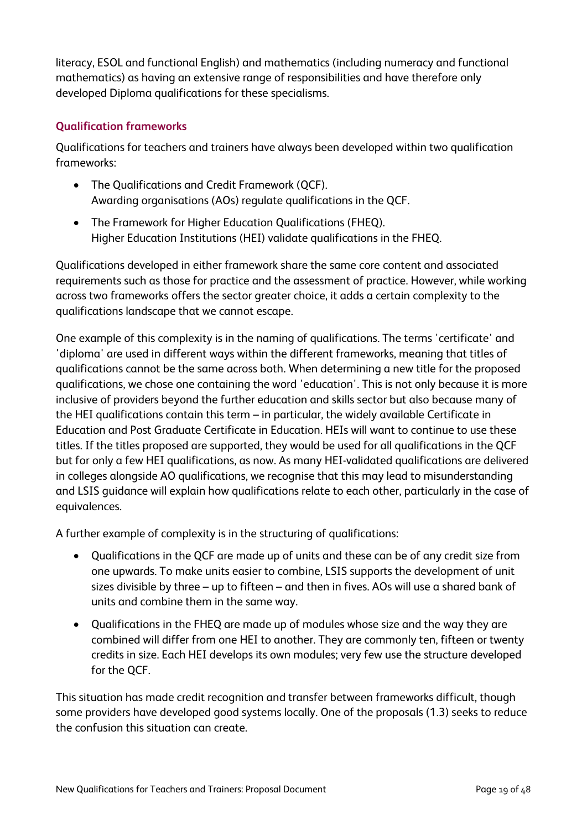literacy, ESOL and functional English) and mathematics (including numeracy and functional mathematics) as having an extensive range of responsibilities and have therefore only developed Diploma qualifications for these specialisms.

## **Qualification frameworks**

Qualifications for teachers and trainers have always been developed within two qualification frameworks:

- The Qualifications and Credit Framework (QCF). Awarding organisations (AOs) regulate qualifications in the QCF.
- The Framework for Higher Education Qualifications (FHEQ). Higher Education Institutions (HEI) validate qualifications in the FHEQ.

Qualifications developed in either framework share the same core content and associated requirements such as those for practice and the assessment of practice. However, while working across two frameworks offers the sector greater choice, it adds a certain complexity to the qualifications landscape that we cannot escape.

One example of this complexity is in the naming of qualifications. The terms 'certificate' and 'diploma' are used in different ways within the different frameworks, meaning that titles of qualifications cannot be the same across both. When determining a new title for the proposed qualifications, we chose one containing the word 'education'. This is not only because it is more inclusive of providers beyond the further education and skills sector but also because many of the HEI qualifications contain this term – in particular, the widely available Certificate in Education and Post Graduate Certificate in Education. HEIs will want to continue to use these titles. If the titles proposed are supported, they would be used for all qualifications in the QCF but for only a few HEI qualifications, as now. As many HEI-validated qualifications are delivered in colleges alongside AO qualifications, we recognise that this may lead to misunderstanding and LSIS guidance will explain how qualifications relate to each other, particularly in the case of equivalences.

A further example of complexity is in the structuring of qualifications:

- Qualifications in the QCF are made up of units and these can be of any credit size from one upwards. To make units easier to combine, LSIS supports the development of unit sizes divisible by three – up to fifteen – and then in fives. AOs will use a shared bank of units and combine them in the same way.
- Qualifications in the FHEQ are made up of modules whose size and the way they are combined will differ from one HEI to another. They are commonly ten, fifteen or twenty credits in size. Each HEI develops its own modules; very few use the structure developed for the QCF.

This situation has made credit recognition and transfer between frameworks difficult, though some providers have developed good systems locally. One of the proposals (1.3) seeks to reduce the confusion this situation can create.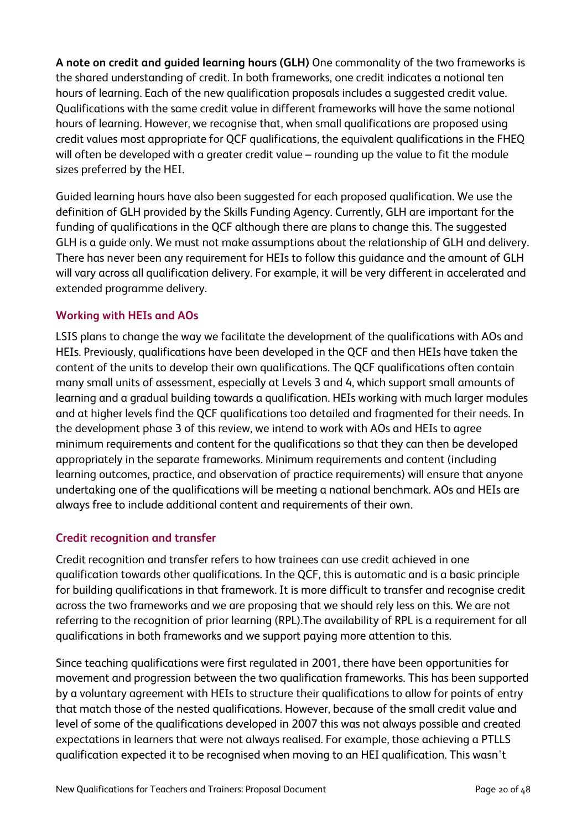**A note on credit and guided learning hours (GLH)** One commonality of the two frameworks is the shared understanding of credit. In both frameworks, one credit indicates a notional ten hours of learning. Each of the new qualification proposals includes a suggested credit value. Qualifications with the same credit value in different frameworks will have the same notional hours of learning. However, we recognise that, when small qualifications are proposed using credit values most appropriate for QCF qualifications, the equivalent qualifications in the FHEQ will often be developed with a greater credit value – rounding up the value to fit the module sizes preferred by the HEI.

Guided learning hours have also been suggested for each proposed qualification. We use the definition of GLH provided by the Skills Funding Agency. Currently, GLH are important for the funding of qualifications in the QCF although there are plans to change this. The suggested GLH is a guide only. We must not make assumptions about the relationship of GLH and delivery. There has never been any requirement for HEIs to follow this guidance and the amount of GLH will vary across all qualification delivery. For example, it will be very different in accelerated and extended programme delivery.

## **Working with HEIs and AOs**

LSIS plans to change the way we facilitate the development of the qualifications with AOs and HEIs. Previously, qualifications have been developed in the QCF and then HEIs have taken the content of the units to develop their own qualifications. The QCF qualifications often contain many small units of assessment, especially at Levels 3 and 4, which support small amounts of learning and a gradual building towards a qualification. HEIs working with much larger modules and at higher levels find the QCF qualifications too detailed and fragmented for their needs. In the development phase 3 of this review, we intend to work with AOs and HEIs to agree minimum requirements and content for the qualifications so that they can then be developed appropriately in the separate frameworks. Minimum requirements and content (including learning outcomes, practice, and observation of practice requirements) will ensure that anyone undertaking one of the qualifications will be meeting a national benchmark. AOs and HEIs are always free to include additional content and requirements of their own.

#### **Credit recognition and transfer**

Credit recognition and transfer refers to how trainees can use credit achieved in one qualification towards other qualifications. In the QCF, this is automatic and is a basic principle for building qualifications in that framework. It is more difficult to transfer and recognise credit across the two frameworks and we are proposing that we should rely less on this. We are not referring to the recognition of prior learning (RPL).The availability of RPL is a requirement for all qualifications in both frameworks and we support paying more attention to this.

Since teaching qualifications were first regulated in 2001, there have been opportunities for movement and progression between the two qualification frameworks. This has been supported by a voluntary agreement with HEIs to structure their qualifications to allow for points of entry that match those of the nested qualifications. However, because of the small credit value and level of some of the qualifications developed in 2007 this was not always possible and created expectations in learners that were not always realised. For example, those achieving a PTLLS qualification expected it to be recognised when moving to an HEI qualification. This wasn't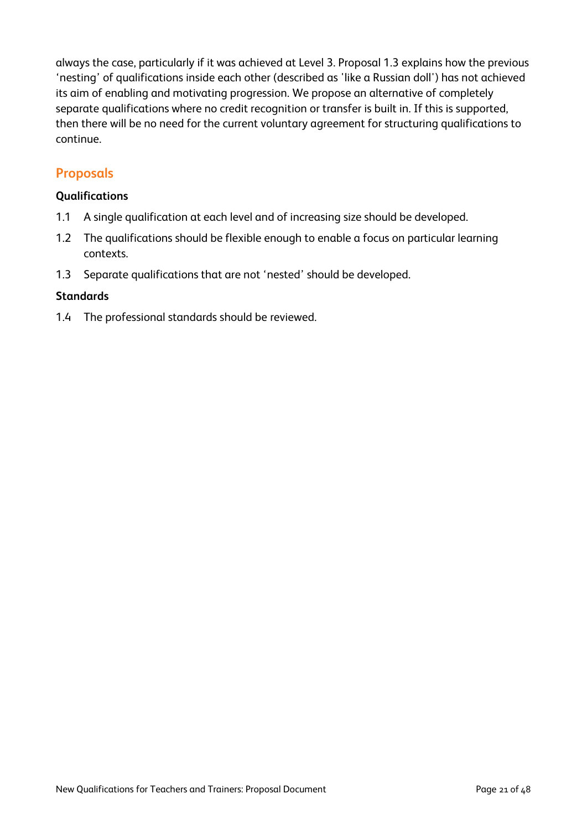always the case, particularly if it was achieved at Level 3. Proposal 1.3 explains how the previous 'nesting' of qualifications inside each other (described as 'like a Russian doll') has not achieved its aim of enabling and motivating progression. We propose an alternative of completely separate qualifications where no credit recognition or transfer is built in. If this is supported, then there will be no need for the current voluntary agreement for structuring qualifications to continue.

## **Proposals**

### **Qualifications**

- 1.1 A single qualification at each level and of increasing size should be developed.
- 1.2 The qualifications should be flexible enough to enable a focus on particular learning contexts.
- 1.3 Separate qualifications that are not 'nested' should be developed.

#### **Standards**

1.4 The professional standards should be reviewed.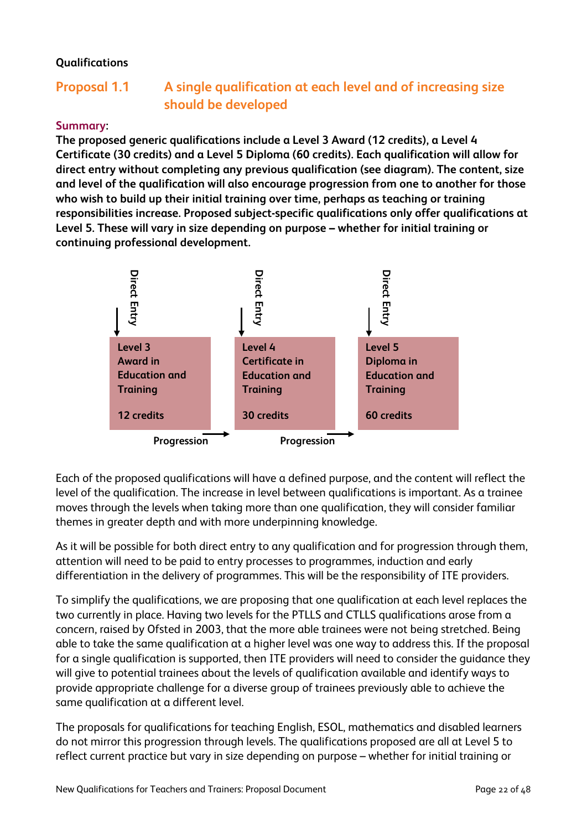## **Qualifications**

# **Proposal 1.1 A single qualification at each level and of increasing size should be developed**

### **Summary:**

**The proposed generic qualifications include a Level 3 Award (12 credits), a Level 4 Certificate (30 credits) and a Level 5 Diploma (60 credits). Each qualification will allow for direct entry without completing any previous qualification (see diagram). The content, size and level of the qualification will also encourage progression from one to another for those who wish to build up their initial training over time, perhaps as teaching or training responsibilities increase. Proposed subject-specific qualifications only offer qualifications at Level 5. These will vary in size depending on purpose – whether for initial training or continuing professional development.**



Each of the proposed qualifications will have a defined purpose, and the content will reflect the level of the qualification. The increase in level between qualifications is important. As a trainee moves through the levels when taking more than one qualification, they will consider familiar themes in greater depth and with more underpinning knowledge.

As it will be possible for both direct entry to any qualification and for progression through them, attention will need to be paid to entry processes to programmes, induction and early differentiation in the delivery of programmes. This will be the responsibility of ITE providers.

To simplify the qualifications, we are proposing that one qualification at each level replaces the two currently in place. Having two levels for the PTLLS and CTLLS qualifications arose from a concern, raised by Ofsted in 2003, that the more able trainees were not being stretched. Being able to take the same qualification at a higher level was one way to address this. If the proposal for a single qualification is supported, then ITE providers will need to consider the guidance they will give to potential trainees about the levels of qualification available and identify ways to provide appropriate challenge for a diverse group of trainees previously able to achieve the same qualification at a different level.

The proposals for qualifications for teaching English, ESOL, mathematics and disabled learners do not mirror this progression through levels. The qualifications proposed are all at Level 5 to reflect current practice but vary in size depending on purpose – whether for initial training or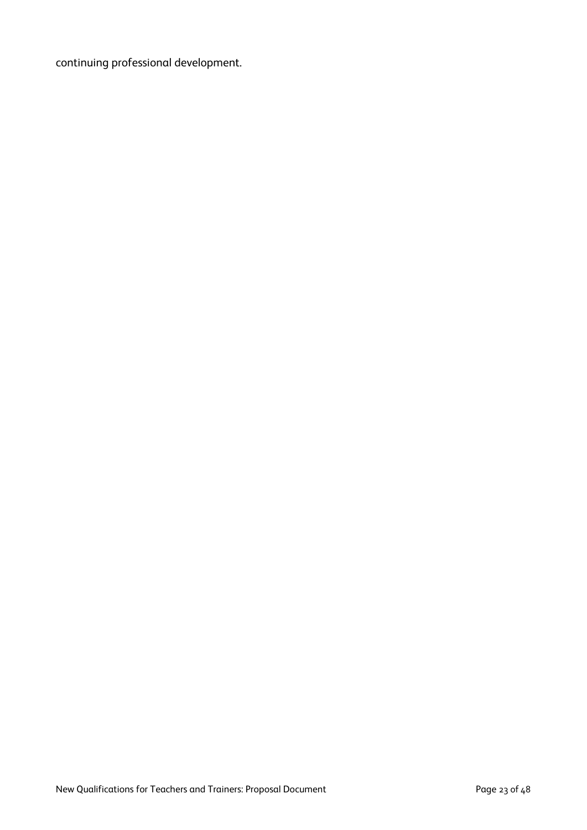continuing professional development.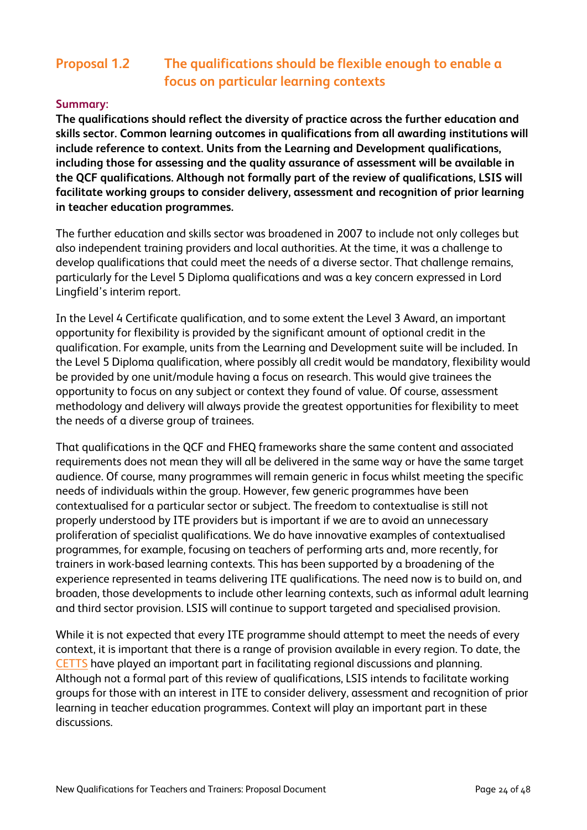# **Proposal 1.2 The qualifications should be flexible enough to enable a focus on particular learning contexts**

## **Summary:**

**The qualifications should reflect the diversity of practice across the further education and skills sector. Common learning outcomes in qualifications from all awarding institutions will include reference to context. Units from the Learning and Development qualifications, including those for assessing and the quality assurance of assessment will be available in the QCF qualifications. Although not formally part of the review of qualifications, LSIS will facilitate working groups to consider delivery, assessment and recognition of prior learning in teacher education programmes.**

The further education and skills sector was broadened in 2007 to include not only colleges but also independent training providers and local authorities. At the time, it was a challenge to develop qualifications that could meet the needs of a diverse sector. That challenge remains, particularly for the Level 5 Diploma qualifications and was a key concern expressed in Lord Lingfield's interim report.

In the Level 4 Certificate qualification, and to some extent the Level 3 Award, an important opportunity for flexibility is provided by the significant amount of optional credit in the qualification. For example, units from the Learning and Development suite will be included. In the Level 5 Diploma qualification, where possibly all credit would be mandatory, flexibility would be provided by one unit/module having a focus on research. This would give trainees the opportunity to focus on any subject or context they found of value. Of course, assessment methodology and delivery will always provide the greatest opportunities for flexibility to meet the needs of a diverse group of trainees.

That qualifications in the QCF and FHEQ frameworks share the same content and associated requirements does not mean they will all be delivered in the same way or have the same target audience. Of course, many programmes will remain generic in focus whilst meeting the specific needs of individuals within the group. However, few generic programmes have been contextualised for a particular sector or subject. The freedom to contextualise is still not properly understood by ITE providers but is important if we are to avoid an unnecessary proliferation of specialist qualifications. We do have innovative examples of contextualised programmes, for example, focusing on teachers of performing arts and, more recently, for trainers in work-based learning contexts. This has been supported by a broadening of the experience represented in teams delivering ITE qualifications. The need now is to build on, and broaden, those developments to include other learning contexts, such as informal adult learning and third sector provision. LSIS will continue to support targeted and specialised provision.

While it is not expected that every ITE programme should attempt to meet the needs of every context, it is important that there is a range of provision available in every region. To date, the [CETTS](http://cett.excellencegateway.org.uk/) have played an important part in facilitating regional discussions and planning. Although not a formal part of this review of qualifications, LSIS intends to facilitate working groups for those with an interest in ITE to consider delivery, assessment and recognition of prior learning in teacher education programmes. Context will play an important part in these discussions.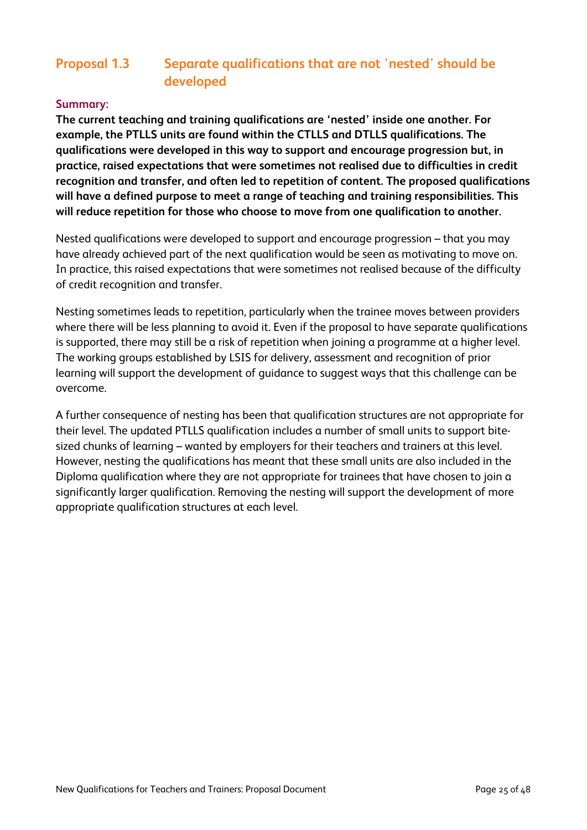## **Proposal 1.3 Separate qualifications that are not 'nested' should be developed**

### **Summary:**

**The current teaching and training qualifications are 'nested' inside one another. For example, the PTLLS units are found within the CTLLS and DTLLS qualifications. The qualifications were developed in this way to support and encourage progression but, in practice, raised expectations that were sometimes not realised due to difficulties in credit recognition and transfer, and often led to repetition of content. The proposed qualifications will have a defined purpose to meet a range of teaching and training responsibilities. This will reduce repetition for those who choose to move from one qualification to another.**

Nested qualifications were developed to support and encourage progression – that you may have already achieved part of the next qualification would be seen as motivating to move on. In practice, this raised expectations that were sometimes not realised because of the difficulty of credit recognition and transfer.

Nesting sometimes leads to repetition, particularly when the trainee moves between providers where there will be less planning to avoid it. Even if the proposal to have separate qualifications is supported, there may still be a risk of repetition when joining a programme at a higher level. The working groups established by LSIS for delivery, assessment and recognition of prior learning will support the development of guidance to suggest ways that this challenge can be overcome.

A further consequence of nesting has been that qualification structures are not appropriate for their level. The updated PTLLS qualification includes a number of small units to support bitesized chunks of learning – wanted by employers for their teachers and trainers at this level. However, nesting the qualifications has meant that these small units are also included in the Diploma qualification where they are not appropriate for trainees that have chosen to join a significantly larger qualification. Removing the nesting will support the development of more appropriate qualification structures at each level.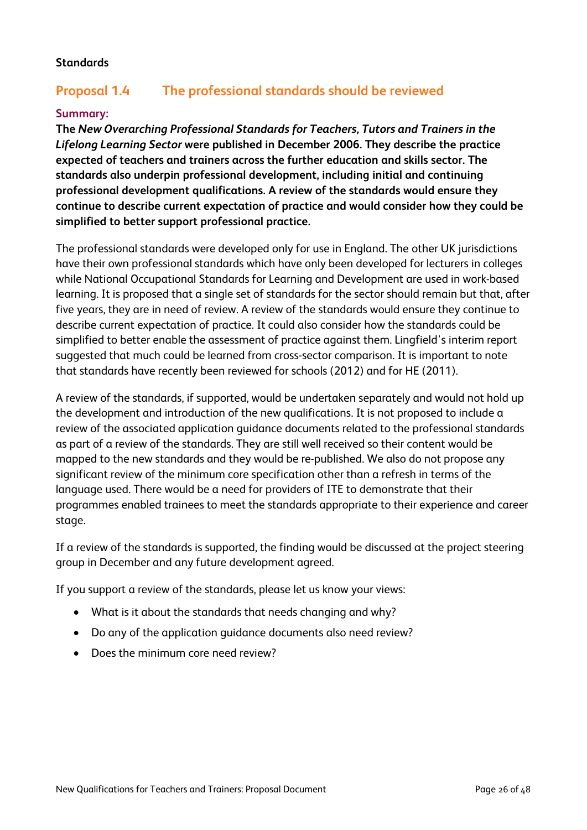### **Standards**

## **Proposal 1.4 The professional standards should be reviewed**

### **Summary:**

**The** *New Overarching Professional Standards for Teachers, Tutors and Trainers in the Lifelong Learning Sector* **were published in December 2006. They describe the practice expected of teachers and trainers across the further education and skills sector. The standards also underpin professional development, including initial and continuing professional development qualifications. A review of the standards would ensure they continue to describe current expectation of practice and would consider how they could be simplified to better support professional practice.**

The professional standards were developed only for use in England. The other UK jurisdictions have their own professional standards which have only been developed for lecturers in colleges while National Occupational Standards for Learning and Development are used in work-based learning. It is proposed that a single set of standards for the sector should remain but that, after five years, they are in need of review. A review of the standards would ensure they continue to describe current expectation of practice. It could also consider how the standards could be simplified to better enable the assessment of practice against them. Lingfield's interim report suggested that much could be learned from cross-sector comparison. It is important to note that standards have recently been reviewed for schools (2012) and for HE (2011).

A review of the standards, if supported, would be undertaken separately and would not hold up the development and introduction of the new qualifications. It is not proposed to include a review of the associated application guidance documents related to the professional standards as part of a review of the standards. They are still well received so their content would be mapped to the new standards and they would be re-published. We also do not propose any significant review of the minimum core specification other than a refresh in terms of the language used. There would be a need for providers of ITE to demonstrate that their programmes enabled trainees to meet the standards appropriate to their experience and career stage.

If a review of the standards is supported, the finding would be discussed at the project steering group in December and any future development agreed.

If you support a review of the standards, please let us know your views:

- What is it about the standards that needs changing and why?
- Do any of the application guidance documents also need review?
- Does the minimum core need review?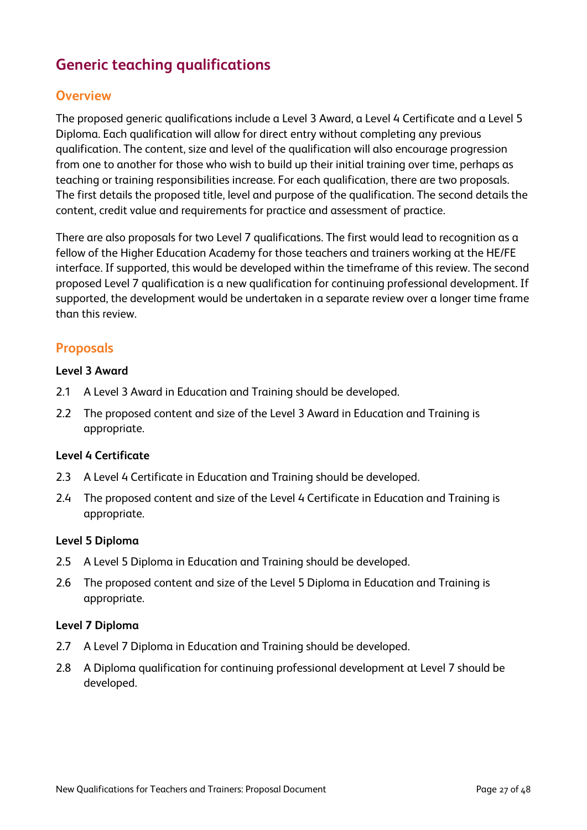# **Generic teaching qualifications**

## **Overview**

The proposed generic qualifications include a Level 3 Award, a Level 4 Certificate and a Level 5 Diploma. Each qualification will allow for direct entry without completing any previous qualification. The content, size and level of the qualification will also encourage progression from one to another for those who wish to build up their initial training over time, perhaps as teaching or training responsibilities increase. For each qualification, there are two proposals. The first details the proposed title, level and purpose of the qualification. The second details the content, credit value and requirements for practice and assessment of practice.

There are also proposals for two Level 7 qualifications. The first would lead to recognition as a fellow of the Higher Education Academy for those teachers and trainers working at the HE/FE interface. If supported, this would be developed within the timeframe of this review. The second proposed Level 7 qualification is a new qualification for continuing professional development. If supported, the development would be undertaken in a separate review over a longer time frame than this review.

## **Proposals**

#### **Level 3 Award**

- 2.1 A Level 3 Award in Education and Training should be developed.
- 2.2 The proposed content and size of the Level 3 Award in Education and Training is appropriate.

#### **Level 4 Certificate**

- 2.3 A Level 4 Certificate in Education and Training should be developed.
- 2.4 The proposed content and size of the Level 4 Certificate in Education and Training is appropriate.

#### **Level 5 Diploma**

- 2.5 A Level 5 Diploma in Education and Training should be developed.
- 2.6 The proposed content and size of the Level 5 Diploma in Education and Training is appropriate.

#### **Level 7 Diploma**

- 2.7 A Level 7 Diploma in Education and Training should be developed.
- 2.8 A Diploma qualification for continuing professional development at Level 7 should be developed.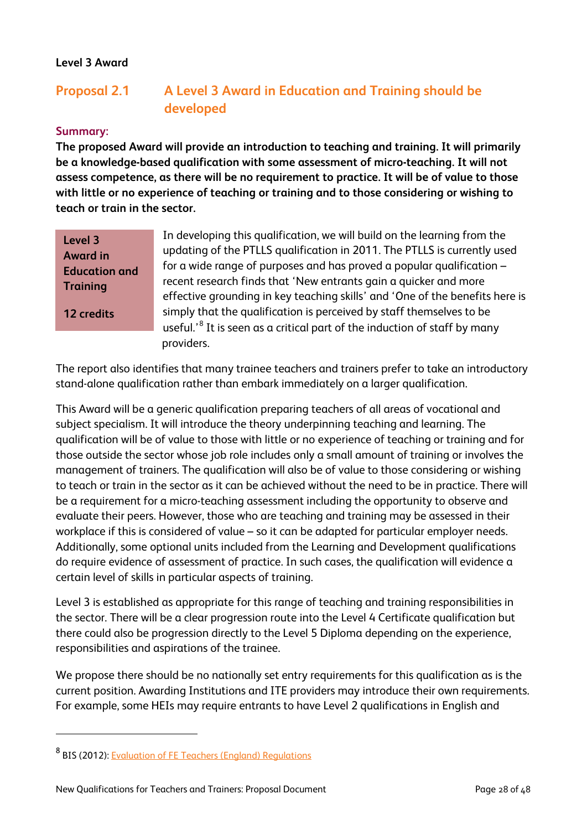## **Level 3 Award**

# **Proposal 2.1 A Level 3 Award in Education and Training should be developed**

#### **Summary:**

**The proposed Award will provide an introduction to teaching and training. It will primarily be a knowledge-based qualification with some assessment of micro-teaching. It will not assess competence, as there will be no requirement to practice. It will be of value to those with little or no experience of teaching or training and to those considering or wishing to teach or train in the sector.**

| Level 3              |
|----------------------|
| <b>Award in</b>      |
| <b>Education and</b> |
| <b>Training</b>      |

**12 credits**

 $\overline{a}$ 

In developing this qualification, we will build on the learning from the updating of the PTLLS qualification in 2011. The PTLLS is currently used for a wide range of purposes and has proved a popular qualification – recent research finds that 'New entrants gain a quicker and more effective grounding in key teaching skills' and 'One of the benefits here is simply that the qualification is perceived by staff themselves to be useful.' $^8$  $^8$  It is seen as a critical part of the induction of staff by many providers.

The report also identifies that many trainee teachers and trainers prefer to take an introductory stand-alone qualification rather than embark immediately on a larger qualification.

This Award will be a generic qualification preparing teachers of all areas of vocational and subject specialism. It will introduce the theory underpinning teaching and learning. The qualification will be of value to those with little or no experience of teaching or training and for those outside the sector whose job role includes only a small amount of training or involves the management of trainers. The qualification will also be of value to those considering or wishing to teach or train in the sector as it can be achieved without the need to be in practice. There will be a requirement for a micro-teaching assessment including the opportunity to observe and evaluate their peers. However, those who are teaching and training may be assessed in their workplace if this is considered of value – so it can be adapted for particular employer needs. Additionally, some optional units included from the Learning and Development qualifications do require evidence of assessment of practice. In such cases, the qualification will evidence a certain level of skills in particular aspects of training.

Level 3 is established as appropriate for this range of teaching and training responsibilities in the sector. There will be a clear progression route into the Level 4 Certificate qualification but there could also be progression directly to the Level 5 Diploma depending on the experience, responsibilities and aspirations of the trainee.

We propose there should be no nationally set entry requirements for this qualification as is the current position. Awarding Institutions and ITE providers may introduce their own requirements. For example, some HEIs may require entrants to have Level 2 qualifications in English and

<span id="page-29-0"></span><sup>8</sup> BIS (2012): [Evaluation of FE Teachers \(England\) Regulations](http://www.bis.gov.uk/assets/biscore/further-education-skills/docs/e/12-693-evaluation-fe-teachers-qualifications-regulations.pdf)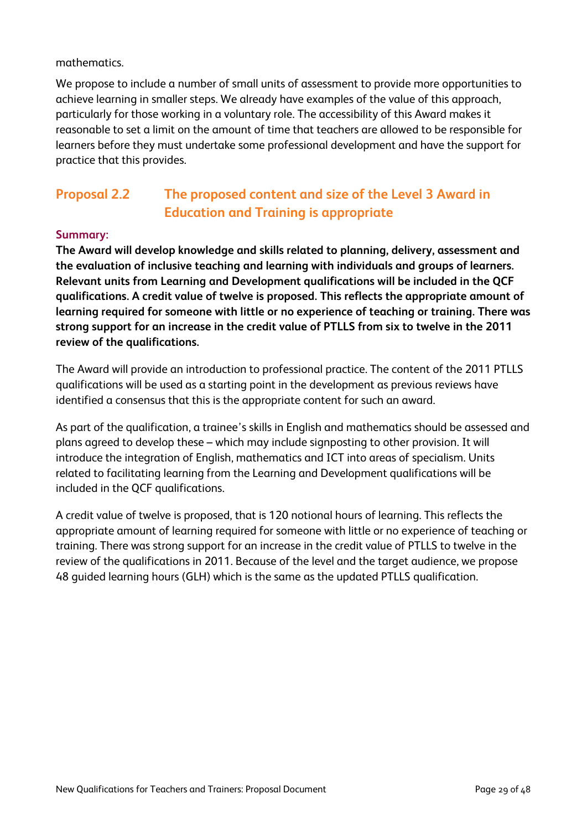mathematics.

We propose to include a number of small units of assessment to provide more opportunities to achieve learning in smaller steps. We already have examples of the value of this approach, particularly for those working in a voluntary role. The accessibility of this Award makes it reasonable to set a limit on the amount of time that teachers are allowed to be responsible for learners before they must undertake some professional development and have the support for practice that this provides.

# **Proposal 2.2 The proposed content and size of the Level 3 Award in Education and Training is appropriate**

## **Summary:**

**The Award will develop knowledge and skills related to planning, delivery, assessment and the evaluation of inclusive teaching and learning with individuals and groups of learners. Relevant units from Learning and Development qualifications will be included in the QCF qualifications. A credit value of twelve is proposed. This reflects the appropriate amount of learning required for someone with little or no experience of teaching or training. There was strong support for an increase in the credit value of PTLLS from six to twelve in the 2011 review of the qualifications.**

The Award will provide an introduction to professional practice. The content of the 2011 PTLLS qualifications will be used as a starting point in the development as previous reviews have identified a consensus that this is the appropriate content for such an award.

As part of the qualification, a trainee's skills in English and mathematics should be assessed and plans agreed to develop these – which may include signposting to other provision. It will introduce the integration of English, mathematics and ICT into areas of specialism. Units related to facilitating learning from the Learning and Development qualifications will be included in the QCF qualifications.

A credit value of twelve is proposed, that is 120 notional hours of learning. This reflects the appropriate amount of learning required for someone with little or no experience of teaching or training. There was strong support for an increase in the credit value of PTLLS to twelve in the review of the qualifications in 2011. Because of the level and the target audience, we propose 48 guided learning hours (GLH) which is the same as the updated PTLLS qualification.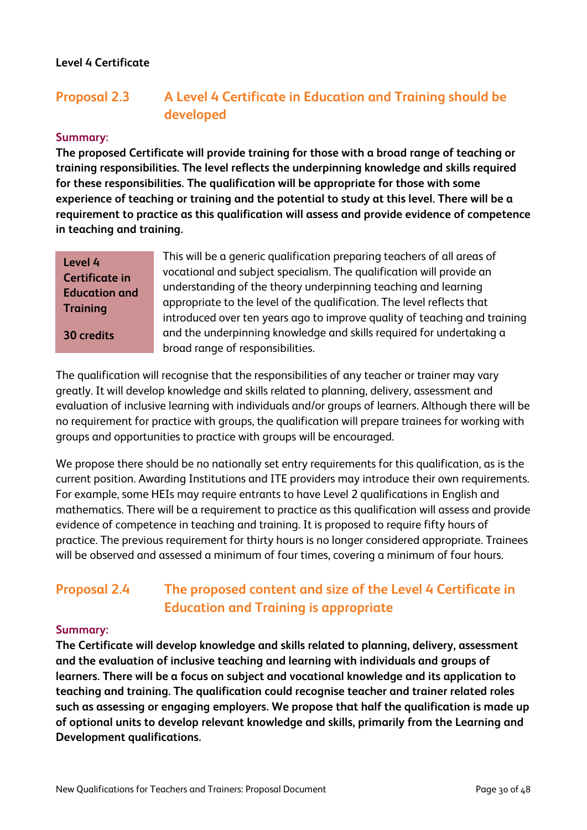### **Level 4 Certificate**

# **Proposal 2.3 A Level 4 Certificate in Education and Training should be developed**

#### **Summary:**

**The proposed Certificate will provide training for those with a broad range of teaching or training responsibilities. The level reflects the underpinning knowledge and skills required for these responsibilities. The qualification will be appropriate for those with some experience of teaching or training and the potential to study at this level. There will be a requirement to practice as this qualification will assess and provide evidence of competence in teaching and training.** 

## **Level 4 Certificate in Education and Training**

**30 credits**

This will be a generic qualification preparing teachers of all areas of vocational and subject specialism. The qualification will provide an understanding of the theory underpinning teaching and learning appropriate to the level of the qualification. The level reflects that introduced over ten years ago to improve quality of teaching and training and the underpinning knowledge and skills required for undertaking a broad range of responsibilities.

The qualification will recognise that the responsibilities of any teacher or trainer may vary greatly. It will develop knowledge and skills related to planning, delivery, assessment and evaluation of inclusive learning with individuals and/or groups of learners. Although there will be no requirement for practice with groups, the qualification will prepare trainees for working with groups and opportunities to practice with groups will be encouraged.

We propose there should be no nationally set entry requirements for this qualification, as is the current position. Awarding Institutions and ITE providers may introduce their own requirements. For example, some HEIs may require entrants to have Level 2 qualifications in English and mathematics. There will be a requirement to practice as this qualification will assess and provide evidence of competence in teaching and training. It is proposed to require fifty hours of practice. The previous requirement for thirty hours is no longer considered appropriate. Trainees will be observed and assessed a minimum of four times, covering a minimum of four hours.

# **Proposal 2.4 The proposed content and size of the Level 4 Certificate in Education and Training is appropriate**

#### **Summary:**

**The Certificate will develop knowledge and skills related to planning, delivery, assessment and the evaluation of inclusive teaching and learning with individuals and groups of learners. There will be a focus on subject and vocational knowledge and its application to teaching and training. The qualification could recognise teacher and trainer related roles such as assessing or engaging employers. We propose that half the qualification is made up of optional units to develop relevant knowledge and skills, primarily from the Learning and Development qualifications.**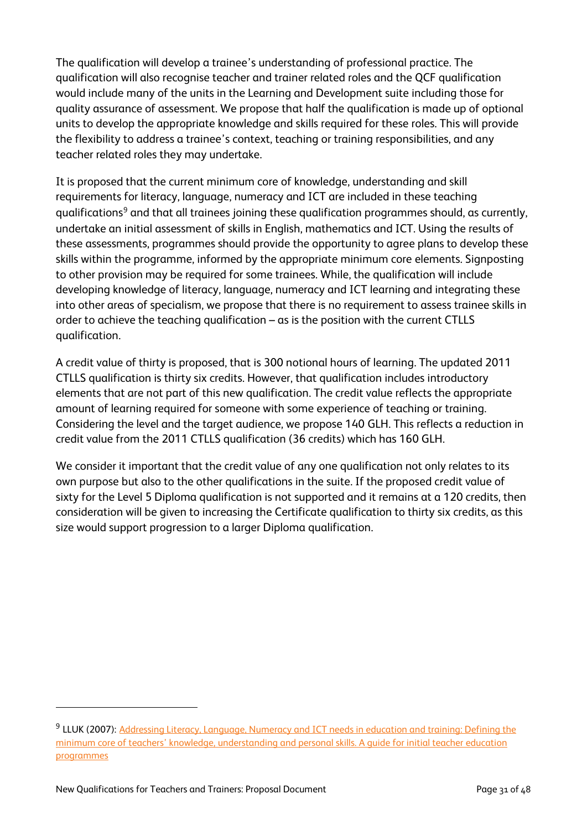The qualification will develop a trainee's understanding of professional practice. The qualification will also recognise teacher and trainer related roles and the QCF qualification would include many of the units in the Learning and Development suite including those for quality assurance of assessment. We propose that half the qualification is made up of optional units to develop the appropriate knowledge and skills required for these roles. This will provide the flexibility to address a trainee's context, teaching or training responsibilities, and any teacher related roles they may undertake.

It is proposed that the current minimum core of knowledge, understanding and skill requirements for literacy, language, numeracy and ICT are included in these teaching qualifications<sup>[9](#page-32-0)</sup> and that all trainees joining these qualification programmes should, as currently, undertake an initial assessment of skills in English, mathematics and ICT. Using the results of these assessments, programmes should provide the opportunity to agree plans to develop these skills within the programme, informed by the appropriate minimum core elements. Signposting to other provision may be required for some trainees. While, the qualification will include developing knowledge of literacy, language, numeracy and ICT learning and integrating these into other areas of specialism, we propose that there is no requirement to assess trainee skills in order to achieve the teaching qualification – as is the position with the current CTLLS qualification.

A credit value of thirty is proposed, that is 300 notional hours of learning. The updated 2011 CTLLS qualification is thirty six credits. However, that qualification includes introductory elements that are not part of this new qualification. The credit value reflects the appropriate amount of learning required for someone with some experience of teaching or training. Considering the level and the target audience, we propose 140 GLH. This reflects a reduction in credit value from the 2011 CTLLS qualification (36 credits) which has 160 GLH.

We consider it important that the credit value of any one qualification not only relates to its own purpose but also to the other qualifications in the suite. If the proposed credit value of sixty for the Level 5 Diploma qualification is not supported and it remains at a 120 credits, then consideration will be given to increasing the Certificate qualification to thirty six credits, as this size would support progression to a larger Diploma qualification.

 $\overline{a}$ 

<span id="page-32-0"></span><sup>&</sup>lt;sup>9</sup> LLUK (2007): [Addressing Literacy, Language, Numeracy and ICT needs](http://repository.excellencegateway.org.uk/fedora/objects/import-pdf:93/datastreams/PDF/content) in education and training: Defining the [minimum core of teachers' knowledge, understanding and personal skills. A guide for initial teacher education](http://repository.excellencegateway.org.uk/fedora/objects/import-pdf:93/datastreams/PDF/content)  [programmes](http://repository.excellencegateway.org.uk/fedora/objects/import-pdf:93/datastreams/PDF/content)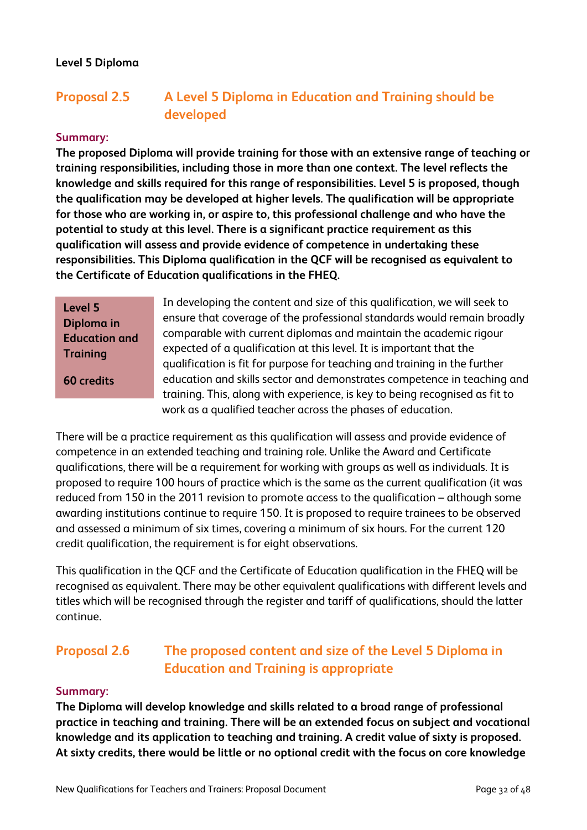## **Level 5 Diploma**

# **Proposal 2.5 A Level 5 Diploma in Education and Training should be developed**

#### **Summary:**

**The proposed Diploma will provide training for those with an extensive range of teaching or training responsibilities, including those in more than one context. The level reflects the knowledge and skills required for this range of responsibilities. Level 5 is proposed, though the qualification may be developed at higher levels. The qualification will be appropriate for those who are working in, or aspire to, this professional challenge and who have the potential to study at this level. There is a significant practice requirement as this qualification will assess and provide evidence of competence in undertaking these responsibilities. This Diploma qualification in the QCF will be recognised as equivalent to the Certificate of Education qualifications in the FHEQ.**

| <b>Level 5</b>    |
|-------------------|
| Diploma in        |
| Education and     |
| <b>Training</b>   |
|                   |
| <b>60 credits</b> |

In developing the content and size of this qualification, we will seek to ensure that coverage of the professional standards would remain broadly comparable with current diplomas and maintain the academic rigour expected of a qualification at this level. It is important that the qualification is fit for purpose for teaching and training in the further education and skills sector and demonstrates competence in teaching and training. This, along with experience, is key to being recognised as fit to work as a qualified teacher across the phases of education.

There will be a practice requirement as this qualification will assess and provide evidence of competence in an extended teaching and training role. Unlike the Award and Certificate qualifications, there will be a requirement for working with groups as well as individuals. It is proposed to require 100 hours of practice which is the same as the current qualification (it was reduced from 150 in the 2011 revision to promote access to the qualification – although some awarding institutions continue to require 150. It is proposed to require trainees to be observed and assessed a minimum of six times, covering a minimum of six hours. For the current 120 credit qualification, the requirement is for eight observations.

This qualification in the QCF and the Certificate of Education qualification in the FHEQ will be recognised as equivalent. There may be other equivalent qualifications with different levels and titles which will be recognised through the register and tariff of qualifications, should the latter continue.

# **Proposal 2.6 The proposed content and size of the Level 5 Diploma in Education and Training is appropriate**

#### **Summary:**

**The Diploma will develop knowledge and skills related to a broad range of professional practice in teaching and training. There will be an extended focus on subject and vocational knowledge and its application to teaching and training. A credit value of sixty is proposed. At sixty credits, there would be little or no optional credit with the focus on core knowledge**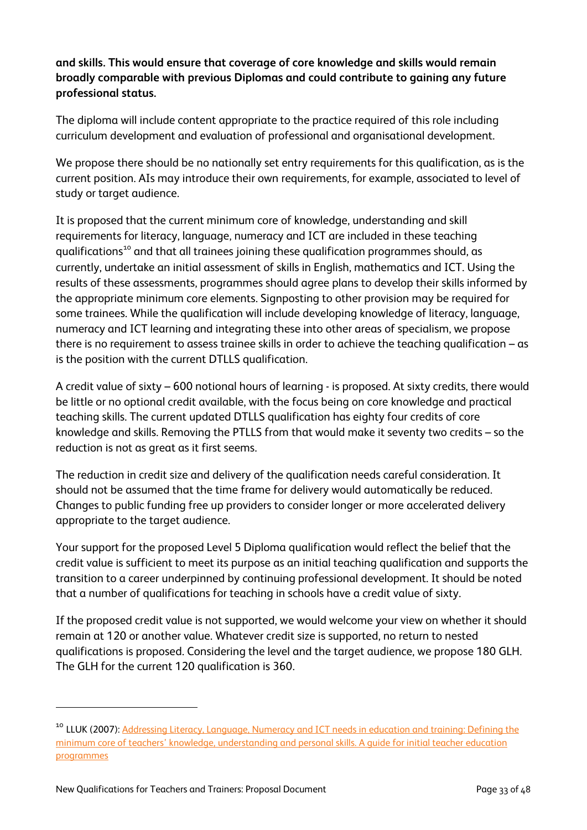## **and skills. This would ensure that coverage of core knowledge and skills would remain broadly comparable with previous Diplomas and could contribute to gaining any future professional status.**

The diploma will include content appropriate to the practice required of this role including curriculum development and evaluation of professional and organisational development.

We propose there should be no nationally set entry requirements for this qualification, as is the current position. AIs may introduce their own requirements, for example, associated to level of study or target audience.

It is proposed that the current minimum core of knowledge, understanding and skill requirements for literacy, language, numeracy and ICT are included in these teaching qualifications<sup>[10](#page-34-0)</sup> and that all trainees joining these qualification programmes should, as currently, undertake an initial assessment of skills in English, mathematics and ICT. Using the results of these assessments, programmes should agree plans to develop their skills informed by the appropriate minimum core elements. Signposting to other provision may be required for some trainees. While the qualification will include developing knowledge of literacy, language, numeracy and ICT learning and integrating these into other areas of specialism, we propose there is no requirement to assess trainee skills in order to achieve the teaching qualification – as is the position with the current DTLLS qualification.

A credit value of sixty – 600 notional hours of learning - is proposed. At sixty credits, there would be little or no optional credit available, with the focus being on core knowledge and practical teaching skills. The current updated DTLLS qualification has eighty four credits of core knowledge and skills. Removing the PTLLS from that would make it seventy two credits – so the reduction is not as great as it first seems.

The reduction in credit size and delivery of the qualification needs careful consideration. It should not be assumed that the time frame for delivery would automatically be reduced. Changes to public funding free up providers to consider longer or more accelerated delivery appropriate to the target audience.

Your support for the proposed Level 5 Diploma qualification would reflect the belief that the credit value is sufficient to meet its purpose as an initial teaching qualification and supports the transition to a career underpinned by continuing professional development. It should be noted that a number of qualifications for teaching in schools have a credit value of sixty.

If the proposed credit value is not supported, we would welcome your view on whether it should remain at 120 or another value. Whatever credit size is supported, no return to nested qualifications is proposed. Considering the level and the target audience, we propose 180 GLH. The GLH for the current 120 qualification is 360.

 $\overline{a}$ 

<span id="page-34-0"></span><sup>&</sup>lt;sup>10</sup> LLUK (2007): Addressing Literacy, Language, Numeracy and ICT needs in education and training: Defining the [minimum core of teachers' knowledge, understanding and personal skills. A guide for initial teacher education](http://repository.excellencegateway.org.uk/fedora/objects/import-pdf:93/datastreams/PDF/content)  [programmes](http://repository.excellencegateway.org.uk/fedora/objects/import-pdf:93/datastreams/PDF/content)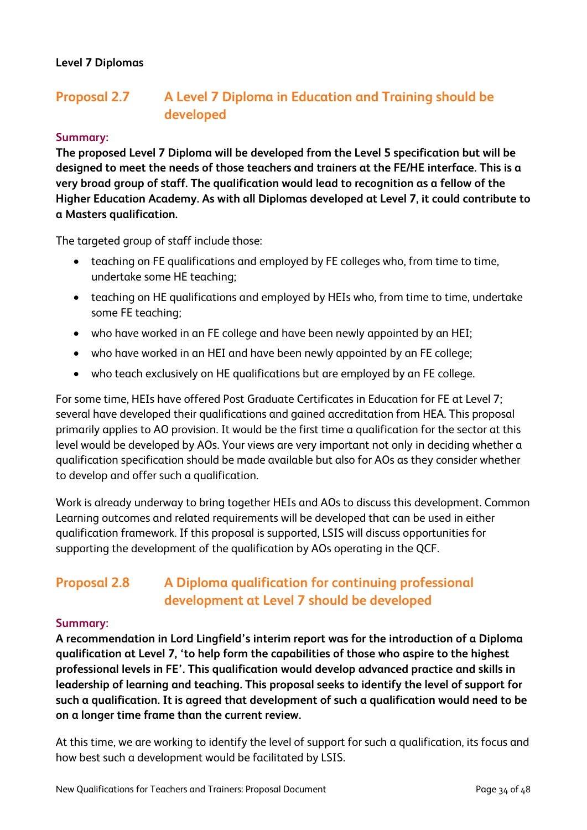## **Level 7 Diplomas**

# **Proposal 2.7 A Level 7 Diploma in Education and Training should be developed**

#### **Summary:**

**The proposed Level 7 Diploma will be developed from the Level 5 specification but will be designed to meet the needs of those teachers and trainers at the FE/HE interface. This is a very broad group of staff. The qualification would lead to recognition as a fellow of the Higher Education Academy. As with all Diplomas developed at Level 7, it could contribute to a Masters qualification.**

The targeted group of staff include those:

- teaching on FE qualifications and employed by FE colleges who, from time to time, undertake some HE teaching;
- teaching on HE qualifications and employed by HEIs who, from time to time, undertake some FE teaching;
- who have worked in an FE college and have been newly appointed by an HEI;
- who have worked in an HEI and have been newly appointed by an FE college;
- who teach exclusively on HE qualifications but are employed by an FE college.

For some time, HEIs have offered Post Graduate Certificates in Education for FE at Level 7; several have developed their qualifications and gained accreditation from HEA. This proposal primarily applies to AO provision. It would be the first time a qualification for the sector at this level would be developed by AOs. Your views are very important not only in deciding whether a qualification specification should be made available but also for AOs as they consider whether to develop and offer such a qualification.

Work is already underway to bring together HEIs and AOs to discuss this development. Common Learning outcomes and related requirements will be developed that can be used in either qualification framework. If this proposal is supported, LSIS will discuss opportunities for supporting the development of the qualification by AOs operating in the QCF.

# **Proposal 2.8 A Diploma qualification for continuing professional development at Level 7 should be developed**

#### **Summary:**

**A recommendation in Lord Lingfield's interim report was for the introduction of a Diploma qualification at Level 7, 'to help form the capabilities of those who aspire to the highest professional levels in FE'. This qualification would develop advanced practice and skills in leadership of learning and teaching. This proposal seeks to identify the level of support for such a qualification. It is agreed that development of such a qualification would need to be on a longer time frame than the current review.**

At this time, we are working to identify the level of support for such a qualification, its focus and how best such a development would be facilitated by LSIS.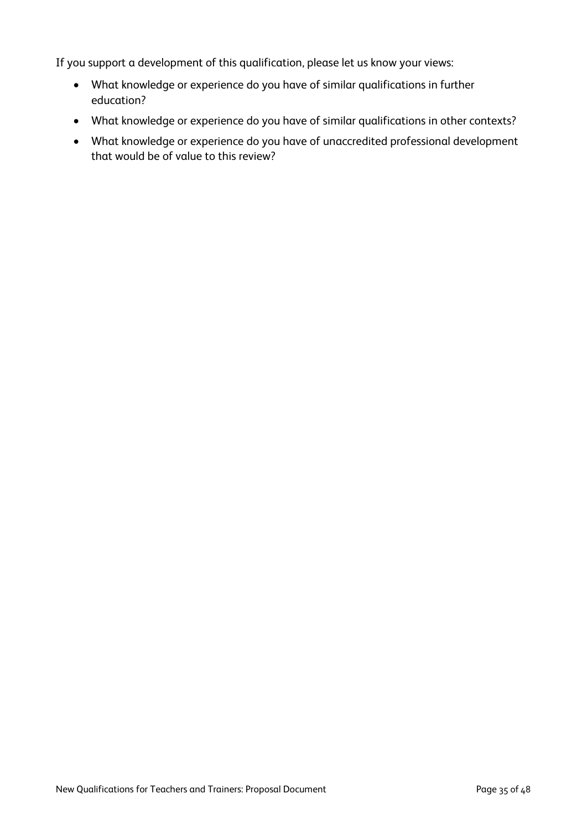If you support a development of this qualification, please let us know your views:

- What knowledge or experience do you have of similar qualifications in further education?
- What knowledge or experience do you have of similar qualifications in other contexts?
- What knowledge or experience do you have of unaccredited professional development that would be of value to this review?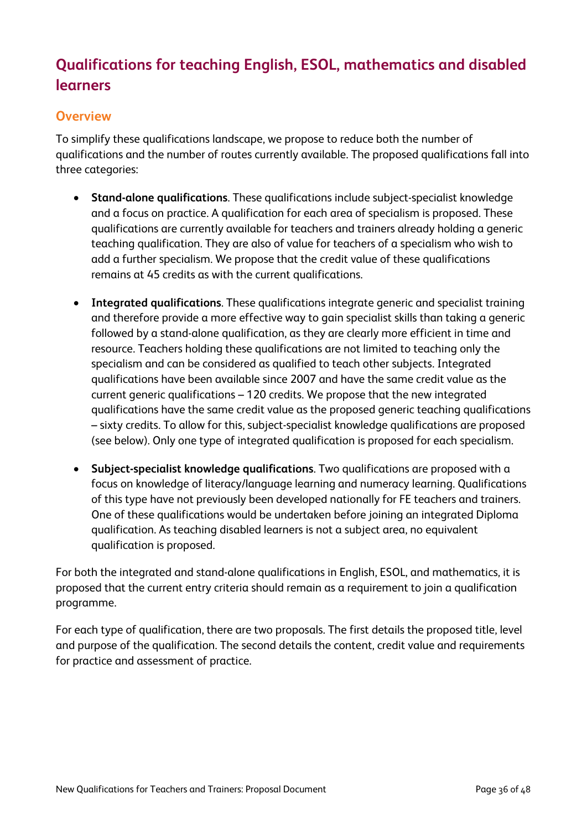# **Qualifications for teaching English, ESOL, mathematics and disabled learners**

## **Overview**

To simplify these qualifications landscape, we propose to reduce both the number of qualifications and the number of routes currently available. The proposed qualifications fall into three categories:

- **Stand-alone qualifications**. These qualifications include subject-specialist knowledge and a focus on practice. A qualification for each area of specialism is proposed. These qualifications are currently available for teachers and trainers already holding a generic teaching qualification. They are also of value for teachers of a specialism who wish to add a further specialism. We propose that the credit value of these qualifications remains at 45 credits as with the current qualifications.
- **Integrated qualifications**. These qualifications integrate generic and specialist training and therefore provide a more effective way to gain specialist skills than taking a generic followed by a stand-alone qualification, as they are clearly more efficient in time and resource. Teachers holding these qualifications are not limited to teaching only the specialism and can be considered as qualified to teach other subjects. Integrated qualifications have been available since 2007 and have the same credit value as the current generic qualifications – 120 credits. We propose that the new integrated qualifications have the same credit value as the proposed generic teaching qualifications – sixty credits. To allow for this, subject-specialist knowledge qualifications are proposed (see below). Only one type of integrated qualification is proposed for each specialism.
- **Subject-specialist knowledge qualifications**. Two qualifications are proposed with a focus on knowledge of literacy/language learning and numeracy learning. Qualifications of this type have not previously been developed nationally for FE teachers and trainers. One of these qualifications would be undertaken before joining an integrated Diploma qualification. As teaching disabled learners is not a subject area, no equivalent qualification is proposed.

For both the integrated and stand-alone qualifications in English, ESOL, and mathematics, it is proposed that the current entry criteria should remain as a requirement to join a qualification programme.

For each type of qualification, there are two proposals. The first details the proposed title, level and purpose of the qualification. The second details the content, credit value and requirements for practice and assessment of practice.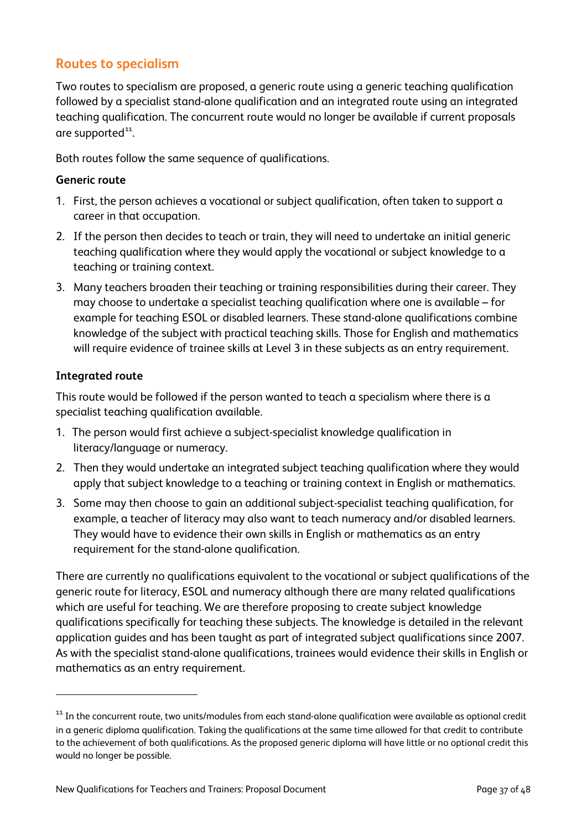## **Routes to specialism**

Two routes to specialism are proposed, a generic route using a generic teaching qualification followed by a specialist stand-alone qualification and an integrated route using an integrated teaching qualification. The concurrent route would no longer be available if current proposals are supported $^{\text{11}}$  $^{\text{11}}$  $^{\text{11}}$ .

Both routes follow the same sequence of qualifications.

#### **Generic route**

- 1. First, the person achieves a vocational or subject qualification, often taken to support a career in that occupation.
- 2. If the person then decides to teach or train, they will need to undertake an initial generic teaching qualification where they would apply the vocational or subject knowledge to a teaching or training context.
- 3. Many teachers broaden their teaching or training responsibilities during their career. They may choose to undertake a specialist teaching qualification where one is available – for example for teaching ESOL or disabled learners. These stand-alone qualifications combine knowledge of the subject with practical teaching skills. Those for English and mathematics will require evidence of trainee skills at Level 3 in these subjects as an entry requirement.

## **Integrated route**

 $\overline{a}$ 

This route would be followed if the person wanted to teach a specialism where there is a specialist teaching qualification available.

- 1. The person would first achieve a subject-specialist knowledge qualification in literacy/language or numeracy.
- 2. Then they would undertake an integrated subject teaching qualification where they would apply that subject knowledge to a teaching or training context in English or mathematics.
- 3. Some may then choose to gain an additional subject-specialist teaching qualification, for example, a teacher of literacy may also want to teach numeracy and/or disabled learners. They would have to evidence their own skills in English or mathematics as an entry requirement for the stand-alone qualification.

There are currently no qualifications equivalent to the vocational or subject qualifications of the generic route for literacy, ESOL and numeracy although there are many related qualifications which are useful for teaching. We are therefore proposing to create subject knowledge qualifications specifically for teaching these subjects. The knowledge is detailed in the relevant application guides and has been taught as part of integrated subject qualifications since 2007. As with the specialist stand-alone qualifications, trainees would evidence their skills in English or mathematics as an entry requirement.

<span id="page-38-0"></span><sup>&</sup>lt;sup>11</sup> In the concurrent route, two units/modules from each stand-alone qualification were available as optional credit in a generic diploma qualification. Taking the qualifications at the same time allowed for that credit to contribute to the achievement of both qualifications. As the proposed generic diploma will have little or no optional credit this would no longer be possible.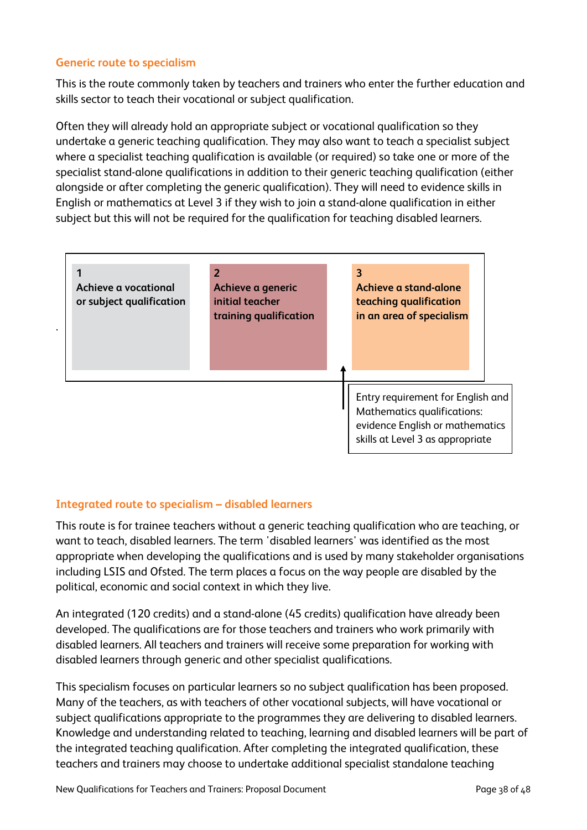### **Generic route to specialism**

This is the route commonly taken by teachers and trainers who enter the further education and skills sector to teach their vocational or subject qualification.

Often they will already hold an appropriate subject or vocational qualification so they undertake a generic teaching qualification. They may also want to teach a specialist subject where a specialist teaching qualification is available (or required) so take one or more of the specialist stand-alone qualifications in addition to their generic teaching qualification (either alongside or after completing the generic qualification). They will need to evidence skills in English or mathematics at Level 3 if they wish to join a stand-alone qualification in either subject but this will not be required for the qualification for teaching disabled learners.



## **Integrated route to specialism – disabled learners**

This route is for trainee teachers without a generic teaching qualification who are teaching, or want to teach, disabled learners. The term 'disabled learners' was identified as the most appropriate when developing the qualifications and is used by many stakeholder organisations including LSIS and Ofsted. The term places a focus on the way people are disabled by the political, economic and social context in which they live.

An integrated (120 credits) and a stand-alone (45 credits) qualification have already been developed. The qualifications are for those teachers and trainers who work primarily with disabled learners. All teachers and trainers will receive some preparation for working with disabled learners through generic and other specialist qualifications.

This specialism focuses on particular learners so no subject qualification has been proposed. Many of the teachers, as with teachers of other vocational subjects, will have vocational or subject qualifications appropriate to the programmes they are delivering to disabled learners. Knowledge and understanding related to teaching, learning and disabled learners will be part of the integrated teaching qualification. After completing the integrated qualification, these teachers and trainers may choose to undertake additional specialist standalone teaching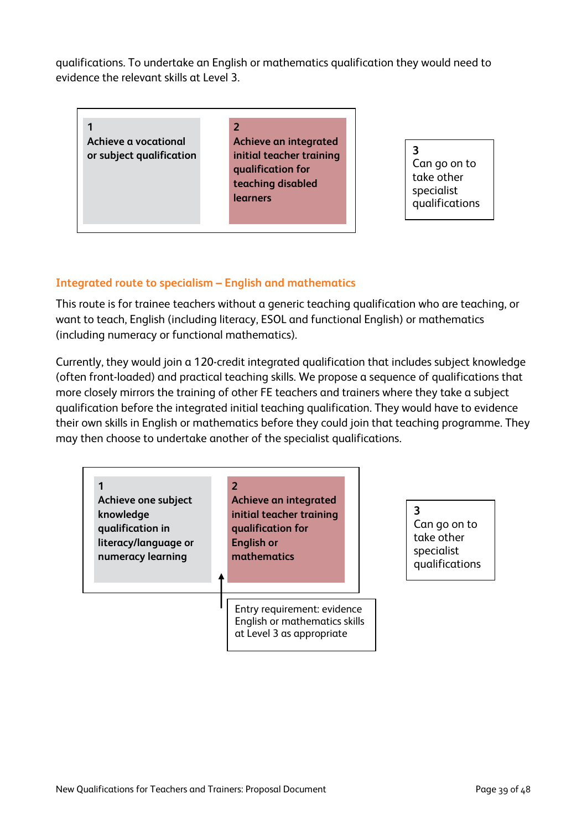qualifications. To undertake an English or mathematics qualification they would need to evidence the relevant skills at Level 3.

**1 Achieve a vocational or subject qualification** **2 Achieve an integrated initial teacher training qualification for teaching disabled learners**

**3**  Can go on to take other specialist qualifications

## **Integrated route to specialism – English and mathematics**

This route is for trainee teachers without a generic teaching qualification who are teaching, or want to teach, English (including literacy, ESOL and functional English) or mathematics (including numeracy or functional mathematics).

Currently, they would join a 120-credit integrated qualification that includes subject knowledge (often front-loaded) and practical teaching skills. We propose a sequence of qualifications that more closely mirrors the training of other FE teachers and trainers where they take a subject qualification before the integrated initial teaching qualification. They would have to evidence their own skills in English or mathematics before they could join that teaching programme. They may then choose to undertake another of the specialist qualifications.

| Achieve one subject<br>knowledge<br>qualification in<br>literacy/language or<br>numeracy learning | $\overline{\mathbf{z}}$<br>Achieve an integrated<br>initial teacher training<br>qualification for<br><b>English or</b><br>mathematics | Caı<br>tak<br>spe<br>quo |
|---------------------------------------------------------------------------------------------------|---------------------------------------------------------------------------------------------------------------------------------------|--------------------------|
|                                                                                                   | Entry requirement: evidence<br>English or mathematics skills<br>at Level 3 as appropriate                                             |                          |

n go on to  $te$  other ecialist alifications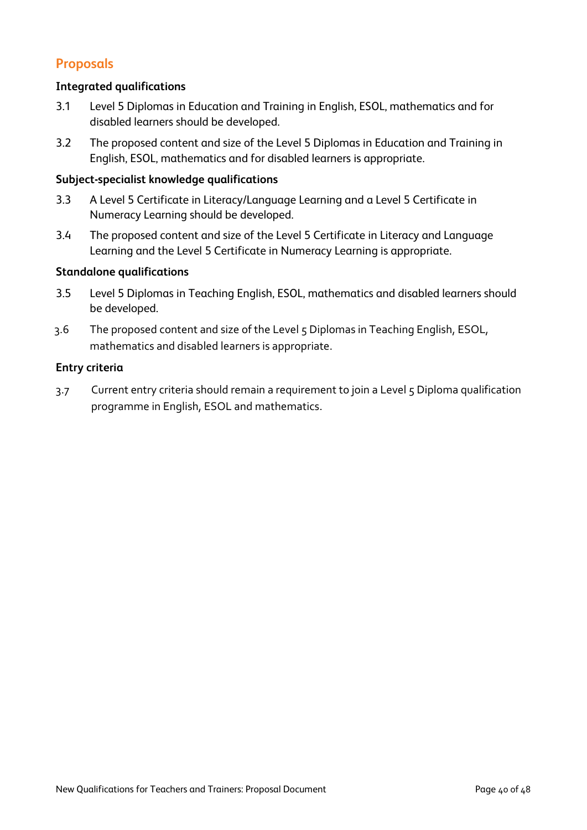# **Proposals**

#### **Integrated qualifications**

- 3.1 Level 5 Diplomas in Education and Training in English, ESOL, mathematics and for disabled learners should be developed.
- 3.2 The proposed content and size of the Level 5 Diplomas in Education and Training in English, ESOL, mathematics and for disabled learners is appropriate.

#### **Subject-specialist knowledge qualifications**

- 3.3 A Level 5 Certificate in Literacy/Language Learning and a Level 5 Certificate in Numeracy Learning should be developed.
- 3.4 The proposed content and size of the Level 5 Certificate in Literacy and Language Learning and the Level 5 Certificate in Numeracy Learning is appropriate.

#### **Standalone qualifications**

- 3.5 Level 5 Diplomas in Teaching English, ESOL, mathematics and disabled learners should be developed.
- 3.6 The proposed content and size of the Level 5 Diplomas in Teaching English, ESOL, mathematics and disabled learners is appropriate.

#### **Entry criteria**

3.7 Current entry criteria should remain a requirement to join a Level 5 Diploma qualification programme in English, ESOL and mathematics.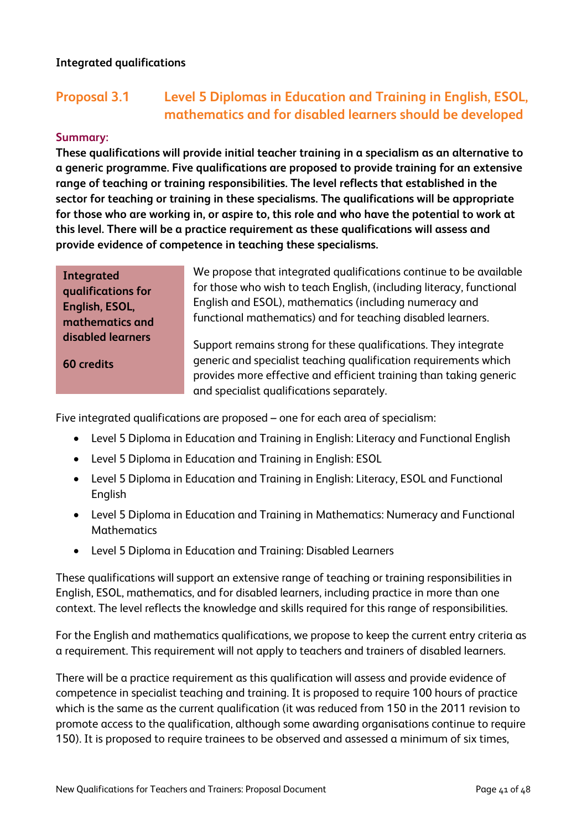## **Integrated qualifications**

# **Proposal 3.1 Level 5 Diplomas in Education and Training in English, ESOL, mathematics and for disabled learners should be developed**

#### **Summary:**

**These qualifications will provide initial teacher training in a specialism as an alternative to a generic programme. Five qualifications are proposed to provide training for an extensive range of teaching or training responsibilities. The level reflects that established in the sector for teaching or training in these specialisms. The qualifications will be appropriate for those who are working in, or aspire to, this role and who have the potential to work at this level. There will be a practice requirement as these qualifications will assess and provide evidence of competence in teaching these specialisms.** 

> We propose that integrated qualifications continue to be available for those who wish to teach English, (including literacy, functional English and ESOL), mathematics (including numeracy and functional mathematics) and for teaching disabled learners.

**60 credits**

**Integrated** 

**qualifications for English, ESOL, mathematics and disabled learners**

Support remains strong for these qualifications. They integrate generic and specialist teaching qualification requirements which provides more effective and efficient training than taking generic and specialist qualifications separately.

Five integrated qualifications are proposed – one for each area of specialism:

- Level 5 Diploma in Education and Training in English: Literacy and Functional English
- Level 5 Diploma in Education and Training in English: ESOL
- Level 5 Diploma in Education and Training in English: Literacy, ESOL and Functional **English**
- Level 5 Diploma in Education and Training in Mathematics: Numeracy and Functional Mathematics
- Level 5 Diploma in Education and Training: Disabled Learners

These qualifications will support an extensive range of teaching or training responsibilities in English, ESOL, mathematics, and for disabled learners, including practice in more than one context. The level reflects the knowledge and skills required for this range of responsibilities.

For the English and mathematics qualifications, we propose to keep the current entry criteria as a requirement. This requirement will not apply to teachers and trainers of disabled learners.

There will be a practice requirement as this qualification will assess and provide evidence of competence in specialist teaching and training. It is proposed to require 100 hours of practice which is the same as the current qualification (it was reduced from 150 in the 2011 revision to promote access to the qualification, although some awarding organisations continue to require 150). It is proposed to require trainees to be observed and assessed a minimum of six times,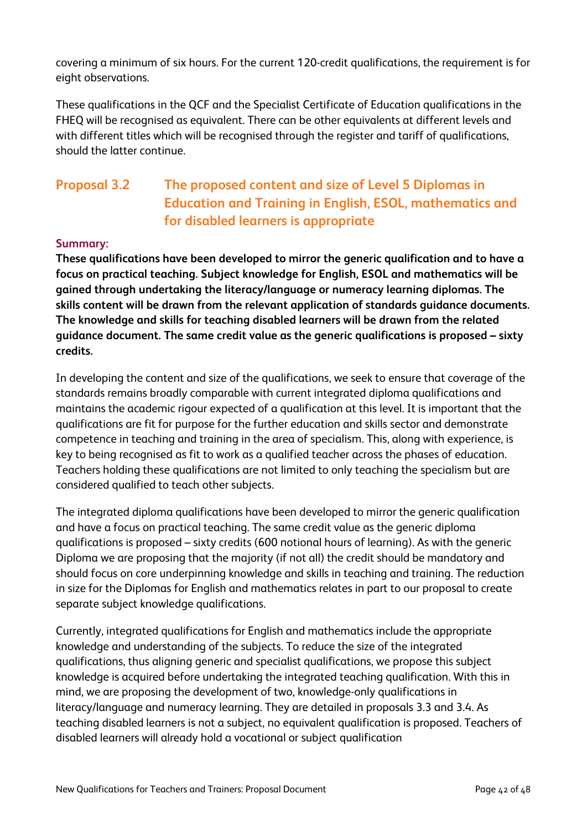covering a minimum of six hours. For the current 120-credit qualifications, the requirement is for eight observations.

These qualifications in the QCF and the Specialist Certificate of Education qualifications in the FHEQ will be recognised as equivalent. There can be other equivalents at different levels and with different titles which will be recognised through the register and tariff of qualifications, should the latter continue.

# **Proposal 3.2 The proposed content and size of Level 5 Diplomas in Education and Training in English, ESOL, mathematics and for disabled learners is appropriate**

## **Summary:**

**These qualifications have been developed to mirror the generic qualification and to have a focus on practical teaching. Subject knowledge for English, ESOL and mathematics will be gained through undertaking the literacy/language or numeracy learning diplomas. The skills content will be drawn from the relevant application of standards guidance documents. The knowledge and skills for teaching disabled learners will be drawn from the related guidance document. The same credit value as the generic qualifications is proposed – sixty credits.**

In developing the content and size of the qualifications, we seek to ensure that coverage of the standards remains broadly comparable with current integrated diploma qualifications and maintains the academic rigour expected of a qualification at this level. It is important that the qualifications are fit for purpose for the further education and skills sector and demonstrate competence in teaching and training in the area of specialism. This, along with experience, is key to being recognised as fit to work as a qualified teacher across the phases of education. Teachers holding these qualifications are not limited to only teaching the specialism but are considered qualified to teach other subjects.

The integrated diploma qualifications have been developed to mirror the generic qualification and have a focus on practical teaching. The same credit value as the generic diploma qualifications is proposed – sixty credits (600 notional hours of learning). As with the generic Diploma we are proposing that the majority (if not all) the credit should be mandatory and should focus on core underpinning knowledge and skills in teaching and training. The reduction in size for the Diplomas for English and mathematics relates in part to our proposal to create separate subject knowledge qualifications.

Currently, integrated qualifications for English and mathematics include the appropriate knowledge and understanding of the subjects. To reduce the size of the integrated qualifications, thus aligning generic and specialist qualifications, we propose this subject knowledge is acquired before undertaking the integrated teaching qualification. With this in mind, we are proposing the development of two, knowledge-only qualifications in literacy/language and numeracy learning. They are detailed in proposals 3.3 and 3.4. As teaching disabled learners is not a subject, no equivalent qualification is proposed. Teachers of disabled learners will already hold a vocational or subject qualification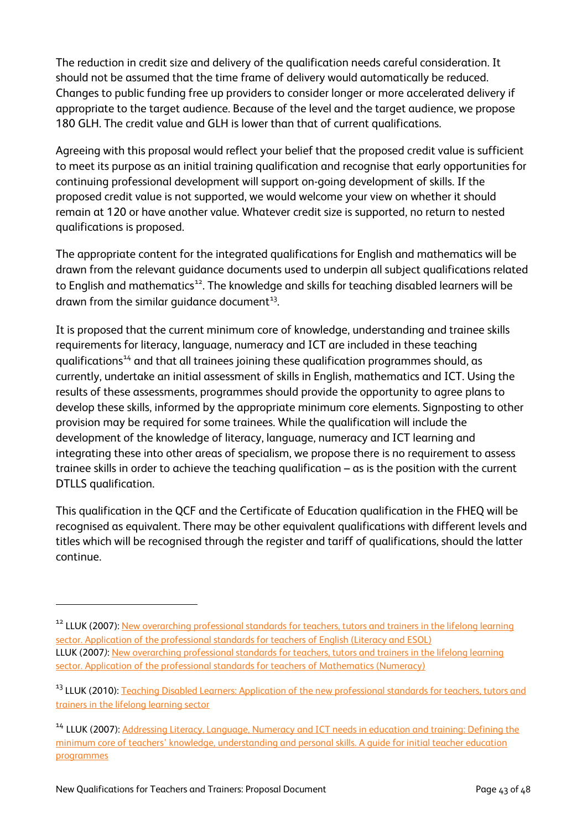The reduction in credit size and delivery of the qualification needs careful consideration. It should not be assumed that the time frame of delivery would automatically be reduced. Changes to public funding free up providers to consider longer or more accelerated delivery if appropriate to the target audience. Because of the level and the target audience, we propose 180 GLH. The credit value and GLH is lower than that of current qualifications.

Agreeing with this proposal would reflect your belief that the proposed credit value is sufficient to meet its purpose as an initial training qualification and recognise that early opportunities for continuing professional development will support on-going development of skills. If the proposed credit value is not supported, we would welcome your view on whether it should remain at 120 or have another value. Whatever credit size is supported, no return to nested qualifications is proposed.

The appropriate content for the integrated qualifications for English and mathematics will be drawn from the relevant guidance documents used to underpin all subject qualifications related to English and mathematics<sup>[12](#page-44-0)</sup>. The knowledge and skills for teaching disabled learners will be drawn from the similar guidance document $^{\text{13}}$  $^{\text{13}}$  $^{\text{13}}$ .

It is proposed that the current minimum core of knowledge, understanding and trainee skills requirements for literacy, language, numeracy and ICT are included in these teaching qualifications<sup>[14](#page-44-2)</sup> and that all trainees joining these qualification programmes should, as currently, undertake an initial assessment of skills in English, mathematics and ICT. Using the results of these assessments, programmes should provide the opportunity to agree plans to develop these skills, informed by the appropriate minimum core elements. Signposting to other provision may be required for some trainees. While the qualification will include the development of the knowledge of literacy, language, numeracy and ICT learning and integrating these into other areas of specialism, we propose there is no requirement to assess trainee skills in order to achieve the teaching qualification – as is the position with the current DTLLS qualification.

This qualification in the QCF and the Certificate of Education qualification in the FHEQ will be recognised as equivalent. There may be other equivalent qualifications with different levels and titles which will be recognised through the register and tariff of qualifications, should the latter continue.

 $\overline{a}$ 

<span id="page-44-0"></span><sup>&</sup>lt;sup>12</sup> LLUK (2007)[: New overarching professional standards for teachers, tutors and trainers in the](http://www.lluklegacy.org/cms/uploads/application-of-the-professional-standards-for-teachers-of-english-literacy-and-esol.pdf) lifelong learning [sector. Application of the professional standards for teachers](http://www.lluklegacy.org/cms/uploads/application-of-the-professional-standards-for-teachers-of-english-literacy-and-esol.pdf) of English (Literacy and ESOL) LLUK (2007*)*: [New overarching professional standards for teachers, tutors and trainers in the lifelong learning](http://www.lluklegacy.org/cms/uploads/Application_of_the_prof_standards_for_teachers_of_the_mathematics_numeracy.pdf)  [sector. Application of the professional standards for teachers](http://www.lluklegacy.org/cms/uploads/Application_of_the_prof_standards_for_teachers_of_the_mathematics_numeracy.pdf) of Mathematics (Numeracy)

<span id="page-44-1"></span><sup>&</sup>lt;sup>13</sup> LLUK (2010): [Teaching Disabled Learners: Application of the new](http://www.lluklegacy.org/cms/uploads/Teaching-disabled-learners-application-guide-for-teachers-tutors-and-trainers-in-the-lifelong-learning-sector.pdf) professional standards for teachers, tutors and trainers in the [lifelong learning sector](http://www.lluklegacy.org/cms/uploads/Teaching-disabled-learners-application-guide-for-teachers-tutors-and-trainers-in-the-lifelong-learning-sector.pdf)

<span id="page-44-2"></span><sup>&</sup>lt;sup>14</sup> LLUK (2007): Addressing Literacy, Language, Numeracy and ICT needs in education and training: Defining the [minimum core of teachers' knowledge, understanding and personal skills. A guide for initial teacher education](http://repository.excellencegateway.org.uk/fedora/objects/import-pdf:93/datastreams/PDF/content)  [programmes](http://repository.excellencegateway.org.uk/fedora/objects/import-pdf:93/datastreams/PDF/content)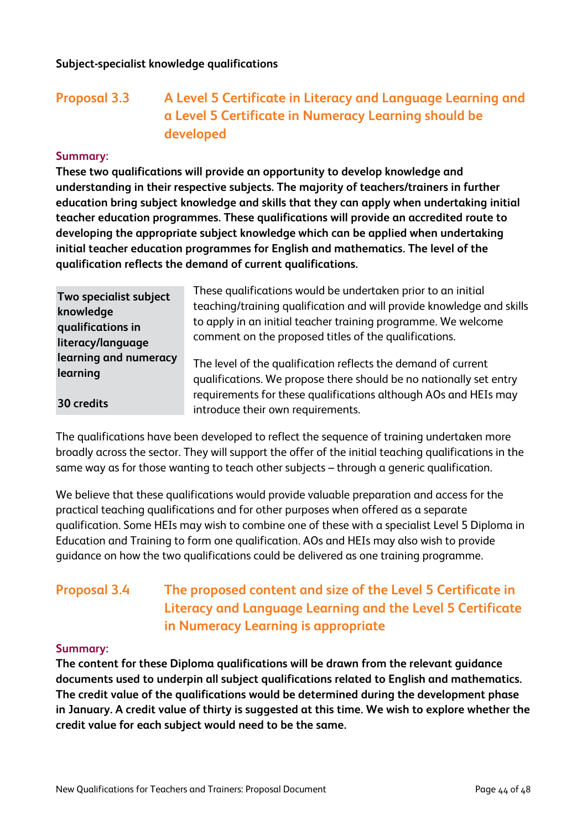# **Proposal 3.3 A Level 5 Certificate in Literacy and Language Learning and a Level 5 Certificate in Numeracy Learning should be developed**

#### **Summary:**

**These two qualifications will provide an opportunity to develop knowledge and understanding in their respective subjects. The majority of teachers/trainers in further education bring subject knowledge and skills that they can apply when undertaking initial teacher education programmes. These qualifications will provide an accredited route to developing the appropriate subject knowledge which can be applied when undertaking initial teacher education programmes for English and mathematics. The level of the qualification reflects the demand of current qualifications.**

| Two specialist subject | These qualifications would be undertaken prior to an initial                                         |
|------------------------|------------------------------------------------------------------------------------------------------|
| knowledge              | teaching/training qualification and will provide knowledge and skills                                |
| qualifications in      | to apply in an initial teacher training programme. We welcome                                        |
| literacy/language      | comment on the proposed titles of the qualifications.                                                |
| learning and numeracy  | The level of the qualification reflects the demand of current                                        |
| learning               | qualifications. We propose there should be no nationally set entry                                   |
| 30 credits             | requirements for these qualifications although AOs and HEIs may<br>introduce their own requirements. |

The qualifications have been developed to reflect the sequence of training undertaken more broadly across the sector. They will support the offer of the initial teaching qualifications in the same way as for those wanting to teach other subjects – through a generic qualification.

We believe that these qualifications would provide valuable preparation and access for the practical teaching qualifications and for other purposes when offered as a separate qualification. Some HEIs may wish to combine one of these with a specialist Level 5 Diploma in Education and Training to form one qualification. AOs and HEIs may also wish to provide guidance on how the two qualifications could be delivered as one training programme.

# **Proposal 3.4 The proposed content and size of the Level 5 Certificate in Literacy and Language Learning and the Level 5 Certificate in Numeracy Learning is appropriate**

#### **Summary:**

**The content for these Diploma qualifications will be drawn from the relevant guidance documents used to underpin all subject qualifications related to English and mathematics. The credit value of the qualifications would be determined during the development phase in January. A credit value of thirty is suggested at this time. We wish to explore whether the credit value for each subject would need to be the same.**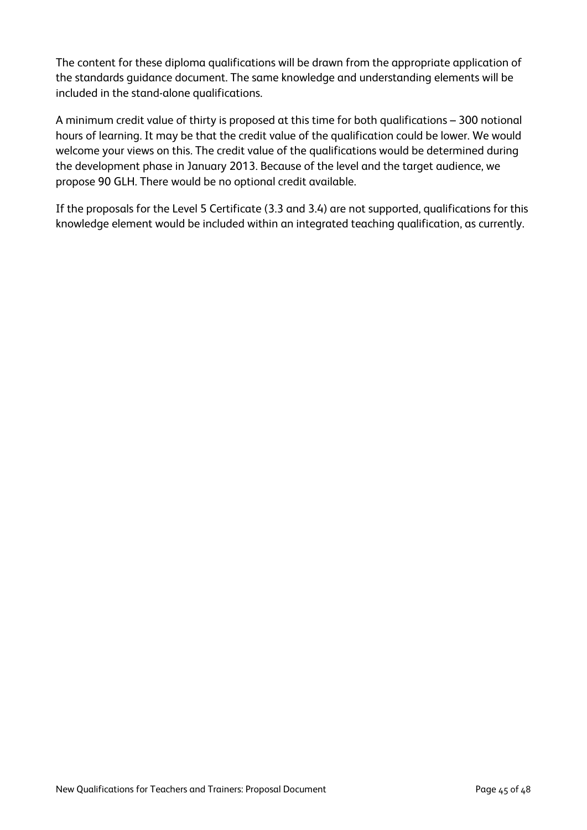The content for these diploma qualifications will be drawn from the appropriate application of the standards guidance document. The same knowledge and understanding elements will be included in the stand-alone qualifications.

A minimum credit value of thirty is proposed at this time for both qualifications – 300 notional hours of learning. It may be that the credit value of the qualification could be lower. We would welcome your views on this. The credit value of the qualifications would be determined during the development phase in January 2013. Because of the level and the target audience, we propose 90 GLH. There would be no optional credit available.

If the proposals for the Level 5 Certificate (3.3 and 3.4) are not supported, qualifications for this knowledge element would be included within an integrated teaching qualification, as currently.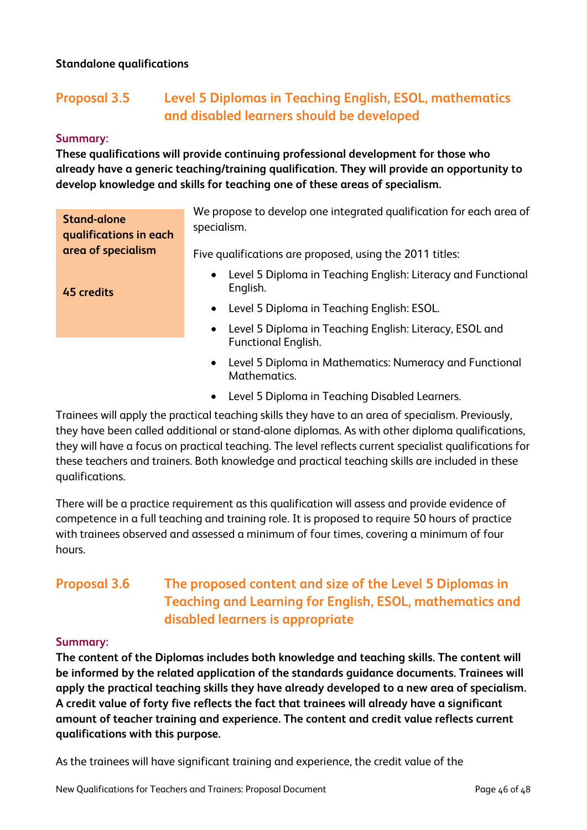### **Standalone qualifications**

# **Proposal 3.5 Level 5 Diplomas in Teaching English, ESOL, mathematics and disabled learners should be developed**

#### **Summary:**

**These qualifications will provide continuing professional development for those who already have a generic teaching/training qualification. They will provide an opportunity to develop knowledge and skills for teaching one of these areas of specialism.**

| <b>Stand-alone</b><br>qualifications in each | We propose to develop one integrated qualification for each area of<br>specialism.                 |
|----------------------------------------------|----------------------------------------------------------------------------------------------------|
| area of specialism                           | Five qualifications are proposed, using the 2011 titles:                                           |
| 45 credits                                   | Level 5 Diploma in Teaching English: Literacy and Functional<br>$\bullet$<br>English.              |
|                                              | • Level 5 Diploma in Teaching English: ESOL.                                                       |
|                                              | Level 5 Diploma in Teaching English: Literacy, ESOL and<br>$\bullet$<br><b>Functional English.</b> |
|                                              | Level 5 Diploma in Mathematics: Numeracy and Functional<br>$\bullet$                               |

- Mathematics.
- Level 5 Diploma in Teaching Disabled Learners.

Trainees will apply the practical teaching skills they have to an area of specialism. Previously, they have been called additional or stand-alone diplomas. As with other diploma qualifications, they will have a focus on practical teaching. The level reflects current specialist qualifications for these teachers and trainers. Both knowledge and practical teaching skills are included in these qualifications.

There will be a practice requirement as this qualification will assess and provide evidence of competence in a full teaching and training role. It is proposed to require 50 hours of practice with trainees observed and assessed a minimum of four times, covering a minimum of four hours.

# **Proposal 3.6 The proposed content and size of the Level 5 Diplomas in Teaching and Learning for English, ESOL, mathematics and disabled learners is appropriate**

#### **Summary:**

**The content of the Diplomas includes both knowledge and teaching skills. The content will be informed by the related application of the standards guidance documents. Trainees will apply the practical teaching skills they have already developed to a new area of specialism. A credit value of forty five reflects the fact that trainees will already have a significant amount of teacher training and experience. The content and credit value reflects current qualifications with this purpose.**

As the trainees will have significant training and experience, the credit value of the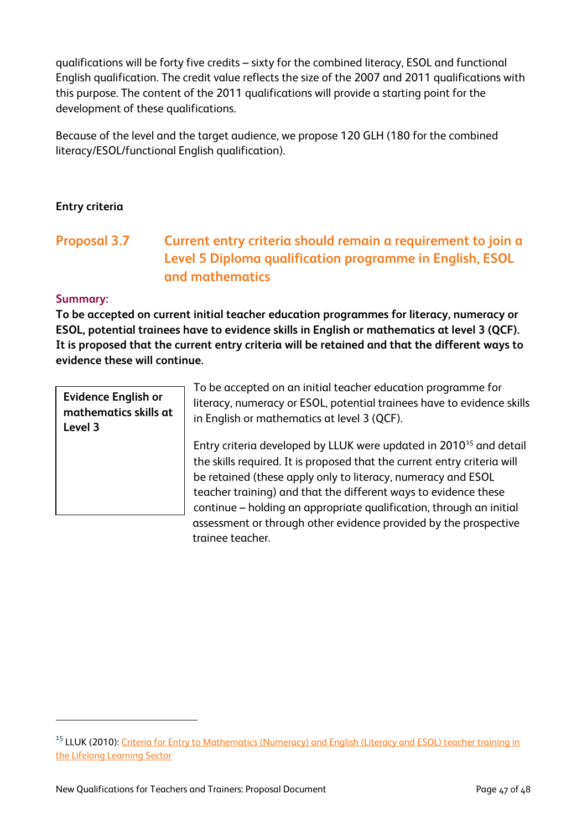qualifications will be forty five credits – sixty for the combined literacy, ESOL and functional English qualification. The credit value reflects the size of the 2007 and 2011 qualifications with this purpose. The content of the 2011 qualifications will provide a starting point for the development of these qualifications.

Because of the level and the target audience, we propose 120 GLH (180 for the combined literacy/ESOL/functional English qualification).

## **Entry criteria**

# **Proposal 3.7 Current entry criteria should remain a requirement to join a Level 5 Diploma qualification programme in English, ESOL and mathematics**

#### **Summary:**

 $\overline{a}$ 

**To be accepted on current initial teacher education programmes for literacy, numeracy or ESOL, potential trainees have to evidence skills in English or mathematics at level 3 (QCF). It is proposed that the current entry criteria will be retained and that the different ways to evidence these will continue.** 

**Evidence English or mathematics skills at Level 3**

To be accepted on an initial teacher education programme for literacy, numeracy or ESOL, potential trainees have to evidence skills in English or mathematics at level 3 (QCF).

Entry criteria developed by LLUK were updated in  $2010^{15}$  $2010^{15}$  $2010^{15}$  and detail the skills required. It is proposed that the current entry criteria will be retained (these apply only to literacy, numeracy and ESOL teacher training) and that the different ways to evidence these continue – holding an appropriate qualification, through an initial assessment or through other evidence provided by the prospective trainee teacher.

<span id="page-48-0"></span><sup>&</sup>lt;sup>15</sup> LLUK (2010): Criteria for Entry to Mathematics (Numeracy) and English (Literacy and ESOL) teacher training in [the Lifelong Learning Sector](http://repository.excellencegateway.org.uk/fedora/objects/import-pdf:96/datastreams/PDF/content)